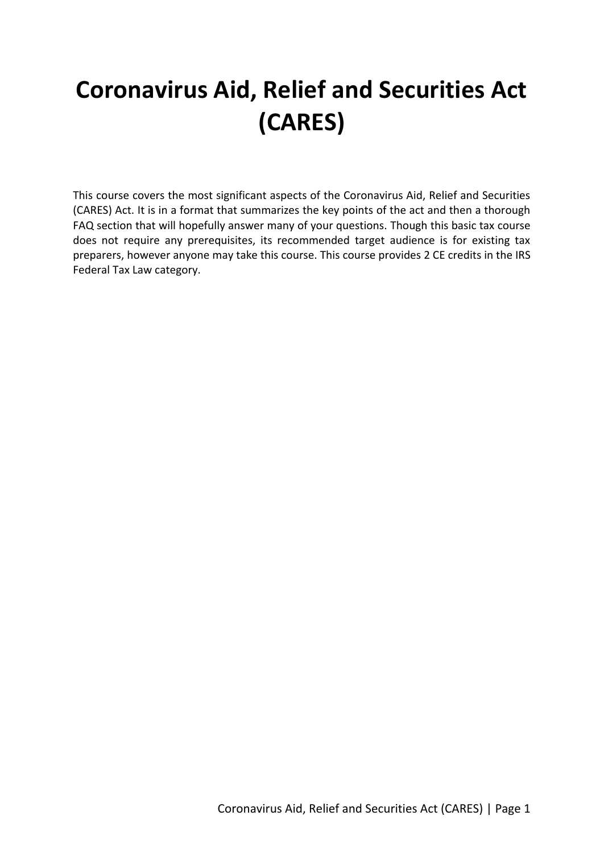# **Coronavirus Aid, Relief and Securities Act (CARES)**

This course covers the most significant aspects of the Coronavirus Aid, Relief and Securities (CARES) Act. It is in a format that summarizes the key points of the act and then a thorough FAQ section that will hopefully answer many of your questions. Though this basic tax course does not require any prerequisites, its recommended target audience is for existing tax preparers, however anyone may take this course. This course provides 2 CE credits in the IRS Federal Tax Law category.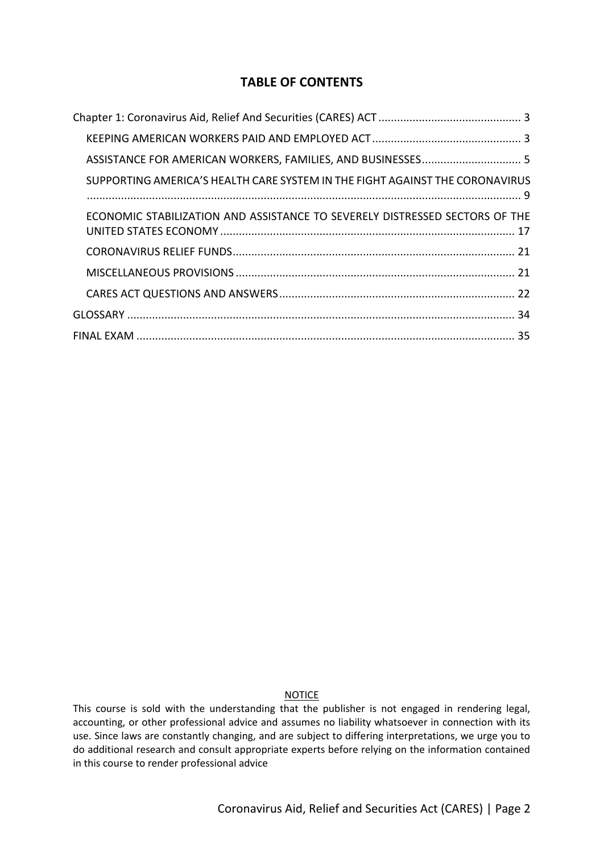# **TABLE OF CONTENTS**

| SUPPORTING AMERICA'S HEALTH CARE SYSTEM IN THE FIGHT AGAINST THE CORONAVIRUS |
|------------------------------------------------------------------------------|
| ECONOMIC STABILIZATION AND ASSISTANCE TO SEVERELY DISTRESSED SECTORS OF THE  |
|                                                                              |
|                                                                              |
|                                                                              |
|                                                                              |
|                                                                              |

# **NOTICE**

This course is sold with the understanding that the publisher is not engaged in rendering legal, accounting, or other professional advice and assumes no liability whatsoever in connection with its use. Since laws are constantly changing, and are subject to differing interpretations, we urge you to do additional research and consult appropriate experts before relying on the information contained in this course to render professional advice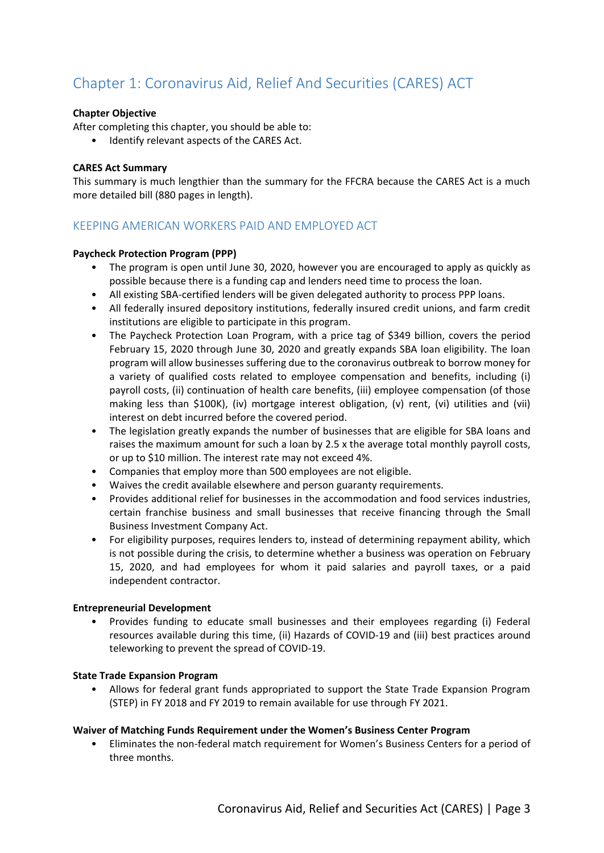# <span id="page-2-0"></span>Chapter 1: Coronavirus Aid, Relief And Securities (CARES) ACT

#### **Chapter Objective**

After completing this chapter, you should be able to:

• Identify relevant aspects of the CARES Act.

#### **CARES Act Summary**

This summary is much lengthier than the summary for the FFCRA because the CARES Act is a much more detailed bill (880 pages in length).

# <span id="page-2-1"></span>KEEPING AMERICAN WORKERS PAID AND EMPLOYED ACT

#### **Paycheck Protection Program (PPP)**

- The program is open until June 30, 2020, however you are encouraged to apply as quickly as possible because there is a funding cap and lenders need time to process the loan.
- All existing SBA-certified lenders will be given delegated authority to process PPP loans.
- All federally insured depository institutions, federally insured credit unions, and farm credit institutions are eligible to participate in this program.
- The Paycheck Protection Loan Program, with a price tag of \$349 billion, covers the period February 15, 2020 through June 30, 2020 and greatly expands SBA loan eligibility. The loan program will allow businesses suffering due to the coronavirus outbreak to borrow money for a variety of qualified costs related to employee compensation and benefits, including (i) payroll costs, (ii) continuation of health care benefits, (iii) employee compensation (of those making less than \$100K), (iv) mortgage interest obligation, (v) rent, (vi) utilities and (vii) interest on debt incurred before the covered period.
- The legislation greatly expands the number of businesses that are eligible for SBA loans and raises the maximum amount for such a loan by 2.5 x the average total monthly payroll costs, or up to \$10 million. The interest rate may not exceed 4%.
- Companies that employ more than 500 employees are not eligible.
- Waives the credit available elsewhere and person guaranty requirements.
- Provides additional relief for businesses in the accommodation and food services industries, certain franchise business and small businesses that receive financing through the Small Business Investment Company Act.
- For eligibility purposes, requires lenders to, instead of determining repayment ability, which is not possible during the crisis, to determine whether a business was operation on February 15, 2020, and had employees for whom it paid salaries and payroll taxes, or a paid independent contractor.

#### **Entrepreneurial Development**

• Provides funding to educate small businesses and their employees regarding (i) Federal resources available during this time, (ii) Hazards of COVID-19 and (iii) best practices around teleworking to prevent the spread of COVID-19.

#### **State Trade Expansion Program**

• Allows for federal grant funds appropriated to support the State Trade Expansion Program (STEP) in FY 2018 and FY 2019 to remain available for use through FY 2021.

#### **Waiver of Matching Funds Requirement under the Women's Business Center Program**

• Eliminates the non-federal match requirement for Women's Business Centers for a period of three months.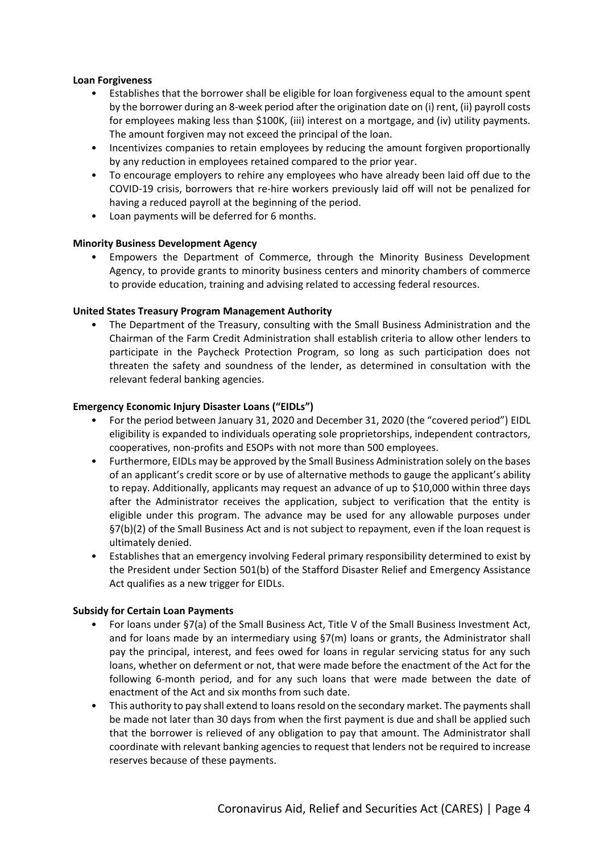#### **Loan Forgiveness**

- Establishes that the borrower shall be eligible for loan forgiveness equal to the amount spent by the borrower during an 8-week period after the origination date on (i) rent, (ii) payroll costs for employees making less than \$100K, (iii) interest on a mortgage, and (iv) utility payments. The amount forgiven may not exceed the principal of the loan.
- Incentivizes companies to retain employees by reducing the amount forgiven proportionally by any reduction in employees retained compared to the prior year.
- To encourage employers to rehire any employees who have already been laid off due to the COVID-19 crisis, borrowers that re-hire workers previously laid off will not be penalized for having a reduced payroll at the beginning of the period.
- Loan payments will be deferred for 6 months.

#### **Minority Business Development Agency**

• Empowers the Department of Commerce, through the Minority Business Development Agency, to provide grants to minority business centers and minority chambers of commerce to provide education, training and advising related to accessing federal resources.

#### **United States Treasury Program Management Authority**

• The Department of the Treasury, consulting with the Small Business Administration and the Chairman of the Farm Credit Administration shall establish criteria to allow other lenders to participate in the Paycheck Protection Program, so long as such participation does not threaten the safety and soundness of the lender, as determined in consultation with the relevant federal banking agencies.

#### **Emergency Economic Injury Disaster Loans ("EIDLs")**

- For the period between January 31, 2020 and December 31, 2020 (the "covered period") EIDL eligibility is expanded to individuals operating sole proprietorships, independent contractors, cooperatives, non-profits and ESOPs with not more than 500 employees.
- Furthermore, EIDLs may be approved by the Small Business Administration solely on the bases of an applicant's credit score or by use of alternative methods to gauge the applicant's ability to repay. Additionally, applicants may request an advance of up to \$10,000 within three days after the Administrator receives the application, subject to verification that the entity is eligible under this program. The advance may be used for any allowable purposes under §7(b)(2) of the Small Business Act and is not subject to repayment, even if the loan request is ultimately denied.
- Establishes that an emergency involving Federal primary responsibility determined to exist by the President under Section 501(b) of the Stafford Disaster Relief and Emergency Assistance Act qualifies as a new trigger for EIDLs.

#### **Subsidy for Certain Loan Payments**

- For loans under §7(a) of the Small Business Act, Title V of the Small Business Investment Act, and for loans made by an intermediary using §7(m) loans or grants, the Administrator shall pay the principal, interest, and fees owed for loans in regular servicing status for any such loans, whether on deferment or not, that were made before the enactment of the Act for the following 6-month period, and for any such loans that were made between the date of enactment of the Act and six months from such date.
- This authority to pay shall extend to loans resold on the secondary market. The payments shall be made not later than 30 days from when the first payment is due and shall be applied such that the borrower is relieved of any obligation to pay that amount. The Administrator shall coordinate with relevant banking agencies to request that lenders not be required to increase reserves because of these payments.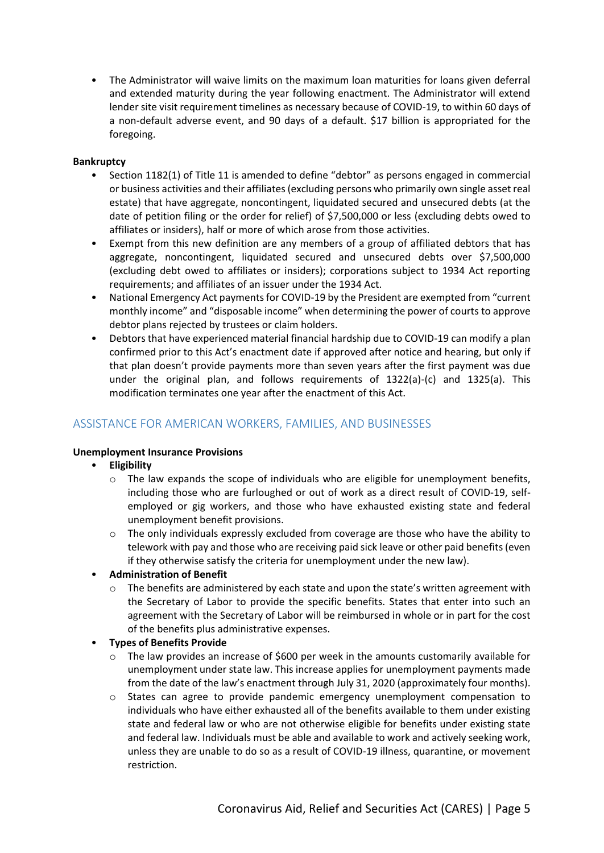• The Administrator will waive limits on the maximum loan maturities for loans given deferral and extended maturity during the year following enactment. The Administrator will extend lender site visit requirement timelines as necessary because of COVID-19, to within 60 days of a non-default adverse event, and 90 days of a default. \$17 billion is appropriated for the foregoing.

#### **Bankruptcy**

- Section 1182(1) of Title 11 is amended to define "debtor" as persons engaged in commercial or business activities and their affiliates (excluding persons who primarily own single asset real estate) that have aggregate, noncontingent, liquidated secured and unsecured debts (at the date of petition filing or the order for relief) of \$7,500,000 or less (excluding debts owed to affiliates or insiders), half or more of which arose from those activities.
- Exempt from this new definition are any members of a group of affiliated debtors that has aggregate, noncontingent, liquidated secured and unsecured debts over \$7,500,000 (excluding debt owed to affiliates or insiders); corporations subject to 1934 Act reporting requirements; and affiliates of an issuer under the 1934 Act.
- National Emergency Act payments for COVID-19 by the President are exempted from "current monthly income" and "disposable income" when determining the power of courts to approve debtor plans rejected by trustees or claim holders.
- Debtors that have experienced material financial hardship due to COVID-19 can modify a plan confirmed prior to this Act's enactment date if approved after notice and hearing, but only if that plan doesn't provide payments more than seven years after the first payment was due under the original plan, and follows requirements of 1322(a)-(c) and 1325(a). This modification terminates one year after the enactment of this Act.

# <span id="page-4-0"></span>ASSISTANCE FOR AMERICAN WORKERS, FAMILIES, AND BUSINESSES

#### **Unemployment Insurance Provisions**

- **Eligibility**
	- $\circ$  The law expands the scope of individuals who are eligible for unemployment benefits, including those who are furloughed or out of work as a direct result of COVID-19, selfemployed or gig workers, and those who have exhausted existing state and federal unemployment benefit provisions.
	- $\circ$  The only individuals expressly excluded from coverage are those who have the ability to telework with pay and those who are receiving paid sick leave or other paid benefits (even if they otherwise satisfy the criteria for unemployment under the new law).
- **Administration of Benefit**
	- $\circ$  The benefits are administered by each state and upon the state's written agreement with the Secretary of Labor to provide the specific benefits. States that enter into such an agreement with the Secretary of Labor will be reimbursed in whole or in part for the cost of the benefits plus administrative expenses.

#### • **Types of Benefits Provide**

- $\circ$  The law provides an increase of \$600 per week in the amounts customarily available for unemployment under state law. This increase applies for unemployment payments made from the date of the law's enactment through July 31, 2020 (approximately four months).
- o States can agree to provide pandemic emergency unemployment compensation to individuals who have either exhausted all of the benefits available to them under existing state and federal law or who are not otherwise eligible for benefits under existing state and federal law. Individuals must be able and available to work and actively seeking work, unless they are unable to do so as a result of COVID-19 illness, quarantine, or movement restriction.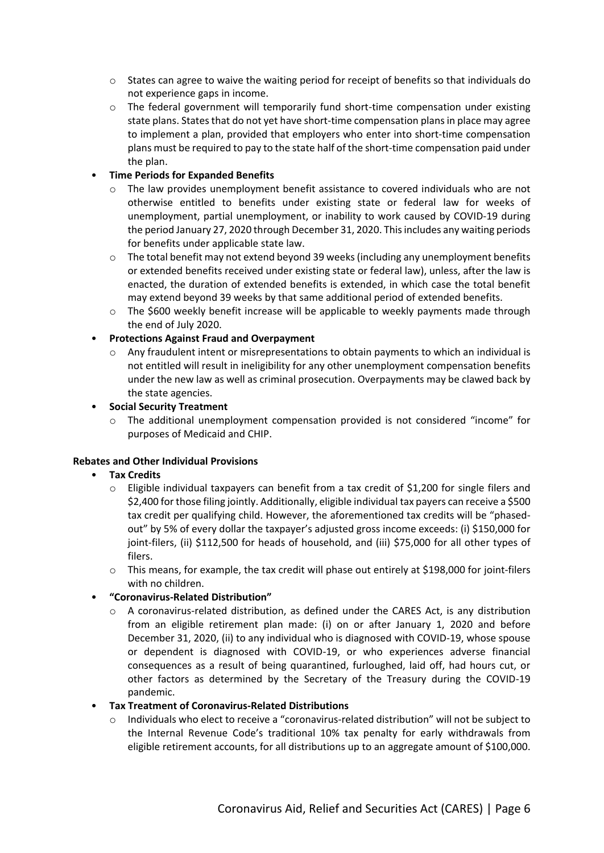- o States can agree to waive the waiting period for receipt of benefits so that individuals do not experience gaps in income.
- $\circ$  The federal government will temporarily fund short-time compensation under existing state plans. States that do not yet have short-time compensation plans in place may agree to implement a plan, provided that employers who enter into short-time compensation plans must be required to pay to the state half of the short-time compensation paid under the plan.

# • **Time Periods for Expanded Benefits**

- $\circ$  The law provides unemployment benefit assistance to covered individuals who are not otherwise entitled to benefits under existing state or federal law for weeks of unemployment, partial unemployment, or inability to work caused by COVID-19 during the period January 27, 2020 through December 31, 2020. This includes any waiting periods for benefits under applicable state law.
- o The total benefit may not extend beyond 39 weeks (including any unemployment benefits or extended benefits received under existing state or federal law), unless, after the law is enacted, the duration of extended benefits is extended, in which case the total benefit may extend beyond 39 weeks by that same additional period of extended benefits.
- $\circ$  The \$600 weekly benefit increase will be applicable to weekly payments made through the end of July 2020.

#### • **Protections Against Fraud and Overpayment**

 $\circ$  Any fraudulent intent or misrepresentations to obtain payments to which an individual is not entitled will result in ineligibility for any other unemployment compensation benefits under the new law as well as criminal prosecution. Overpayments may be clawed back by the state agencies.

#### • **Social Security Treatment**

 $\circ$  The additional unemployment compensation provided is not considered "income" for purposes of Medicaid and CHIP.

# **Rebates and Other Individual Provisions**

- **Tax Credits**
	- $\circ$  Eligible individual taxpayers can benefit from a tax credit of \$1,200 for single filers and \$2,400 for those filing jointly. Additionally, eligible individual tax payers can receive a \$500 tax credit per qualifying child. However, the aforementioned tax credits will be "phasedout" by 5% of every dollar the taxpayer's adjusted gross income exceeds: (i) \$150,000 for joint-filers, (ii) \$112,500 for heads of household, and (iii) \$75,000 for all other types of filers.
	- o This means, for example, the tax credit will phase out entirely at \$198,000 for joint-filers with no children.
- **"Coronavirus-Related Distribution"**
	- $\circ$  A coronavirus-related distribution, as defined under the CARES Act, is any distribution from an eligible retirement plan made: (i) on or after January 1, 2020 and before December 31, 2020, (ii) to any individual who is diagnosed with COVID-19, whose spouse or dependent is diagnosed with COVID-19, or who experiences adverse financial consequences as a result of being quarantined, furloughed, laid off, had hours cut, or other factors as determined by the Secretary of the Treasury during the COVID-19 pandemic.

#### • **Tax Treatment of Coronavirus-Related Distributions**

 $\circ$  Individuals who elect to receive a "coronavirus-related distribution" will not be subject to the Internal Revenue Code's traditional 10% tax penalty for early withdrawals from eligible retirement accounts, for all distributions up to an aggregate amount of \$100,000.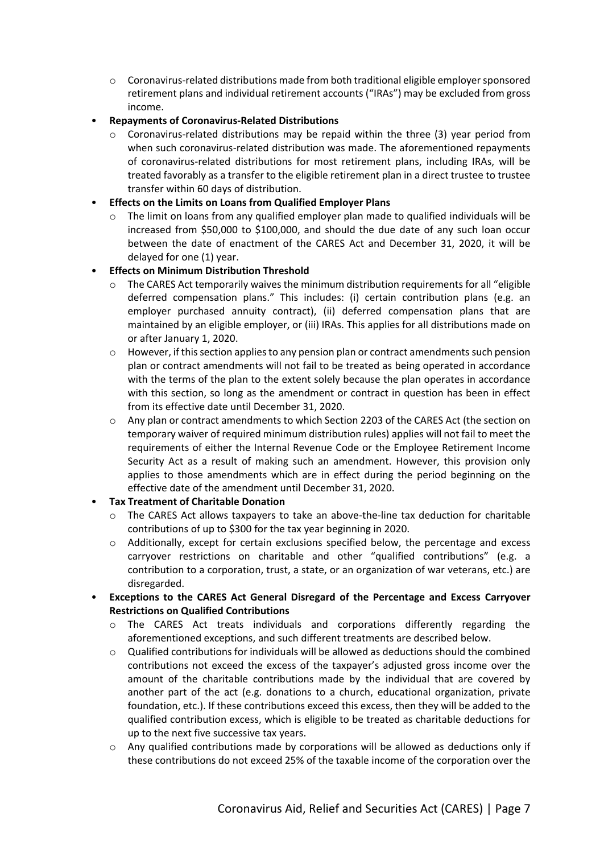- o Coronavirus-related distributions made from both traditional eligible employersponsored retirement plans and individual retirement accounts ("IRAs") may be excluded from gross income.
- **Repayments of Coronavirus-Related Distributions**
	- $\circ$  Coronavirus-related distributions may be repaid within the three (3) year period from when such coronavirus-related distribution was made. The aforementioned repayments of coronavirus-related distributions for most retirement plans, including IRAs, will be treated favorably as a transfer to the eligible retirement plan in a direct trustee to trustee transfer within 60 days of distribution.
- **Effects on the Limits on Loans from Qualified Employer Plans**
	- $\circ$  The limit on loans from any qualified employer plan made to qualified individuals will be increased from \$50,000 to \$100,000, and should the due date of any such loan occur between the date of enactment of the CARES Act and December 31, 2020, it will be delayed for one (1) year.
- **Effects on Minimum Distribution Threshold**
	- $\circ$  The CARES Act temporarily waives the minimum distribution requirements for all "eligible" deferred compensation plans." This includes: (i) certain contribution plans (e.g. an employer purchased annuity contract), (ii) deferred compensation plans that are maintained by an eligible employer, or (iii) IRAs. This applies for all distributions made on or after January 1, 2020.
	- $\circ$  However, if this section applies to any pension plan or contract amendments such pension plan or contract amendments will not fail to be treated as being operated in accordance with the terms of the plan to the extent solely because the plan operates in accordance with this section, so long as the amendment or contract in question has been in effect from its effective date until December 31, 2020.
	- o Any plan or contract amendments to which Section 2203 of the CARES Act (the section on temporary waiver of required minimum distribution rules) applies will not fail to meet the requirements of either the Internal Revenue Code or the Employee Retirement Income Security Act as a result of making such an amendment. However, this provision only applies to those amendments which are in effect during the period beginning on the effective date of the amendment until December 31, 2020.
- **Tax Treatment of Charitable Donation**
	- o The CARES Act allows taxpayers to take an above-the-line tax deduction for charitable contributions of up to \$300 for the tax year beginning in 2020.
	- $\circ$  Additionally, except for certain exclusions specified below, the percentage and excess carryover restrictions on charitable and other "qualified contributions" (e.g. a contribution to a corporation, trust, a state, or an organization of war veterans, etc.) are disregarded.
- **Exceptions to the CARES Act General Disregard of the Percentage and Excess Carryover Restrictions on Qualified Contributions**
	- o The CARES Act treats individuals and corporations differently regarding the aforementioned exceptions, and such different treatments are described below.
	- o Qualified contributions for individuals will be allowed as deductions should the combined contributions not exceed the excess of the taxpayer's adjusted gross income over the amount of the charitable contributions made by the individual that are covered by another part of the act (e.g. donations to a church, educational organization, private foundation, etc.). If these contributions exceed this excess, then they will be added to the qualified contribution excess, which is eligible to be treated as charitable deductions for up to the next five successive tax years.
	- $\circ$  Any qualified contributions made by corporations will be allowed as deductions only if these contributions do not exceed 25% of the taxable income of the corporation over the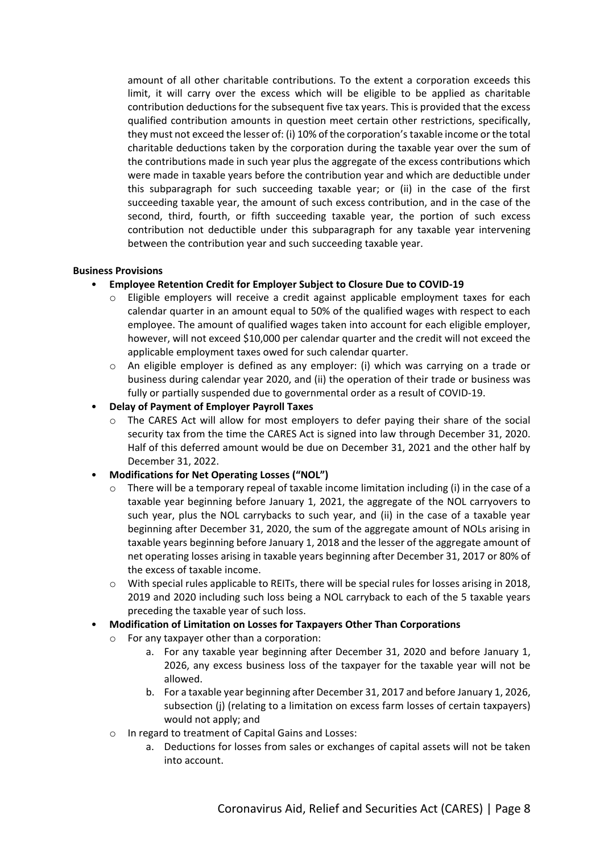amount of all other charitable contributions. To the extent a corporation exceeds this limit, it will carry over the excess which will be eligible to be applied as charitable contribution deductions for the subsequent five tax years. This is provided that the excess qualified contribution amounts in question meet certain other restrictions, specifically, they must not exceed the lesser of: (i) 10% of the corporation's taxable income or the total charitable deductions taken by the corporation during the taxable year over the sum of the contributions made in such year plus the aggregate of the excess contributions which were made in taxable years before the contribution year and which are deductible under this subparagraph for such succeeding taxable year; or (ii) in the case of the first succeeding taxable year, the amount of such excess contribution, and in the case of the second, third, fourth, or fifth succeeding taxable year, the portion of such excess contribution not deductible under this subparagraph for any taxable year intervening between the contribution year and such succeeding taxable year.

#### **Business Provisions**

- **Employee Retention Credit for Employer Subject to Closure Due to COVID-19**
	- o Eligible employers will receive a credit against applicable employment taxes for each calendar quarter in an amount equal to 50% of the qualified wages with respect to each employee. The amount of qualified wages taken into account for each eligible employer, however, will not exceed \$10,000 per calendar quarter and the credit will not exceed the applicable employment taxes owed for such calendar quarter.
	- $\circ$  An eligible employer is defined as any employer: (i) which was carrying on a trade or business during calendar year 2020, and (ii) the operation of their trade or business was fully or partially suspended due to governmental order as a result of COVID-19.
- **Delay of Payment of Employer Payroll Taxes**
	- $\circ$  The CARES Act will allow for most employers to defer paying their share of the social security tax from the time the CARES Act is signed into law through December 31, 2020. Half of this deferred amount would be due on December 31, 2021 and the other half by December 31, 2022.
- **Modifications for Net Operating Losses ("NOL")**
	- $\circ$  There will be a temporary repeal of taxable income limitation including (i) in the case of a taxable year beginning before January 1, 2021, the aggregate of the NOL carryovers to such year, plus the NOL carrybacks to such year, and (ii) in the case of a taxable year beginning after December 31, 2020, the sum of the aggregate amount of NOLs arising in taxable years beginning before January 1, 2018 and the lesser of the aggregate amount of net operating losses arising in taxable years beginning after December 31, 2017 or 80% of the excess of taxable income.
	- o With special rules applicable to REITs, there will be special rules for losses arising in 2018, 2019 and 2020 including such loss being a NOL carryback to each of the 5 taxable years preceding the taxable year of such loss.
- **Modification of Limitation on Losses for Taxpayers Other Than Corporations**
	- o For any taxpayer other than a corporation:
		- a. For any taxable year beginning after December 31, 2020 and before January 1, 2026, any excess business loss of the taxpayer for the taxable year will not be allowed.
		- b. For a taxable year beginning after December 31, 2017 and before January 1, 2026, subsection (j) (relating to a limitation on excess farm losses of certain taxpayers) would not apply; and
	- o In regard to treatment of Capital Gains and Losses:
		- a. Deductions for losses from sales or exchanges of capital assets will not be taken into account.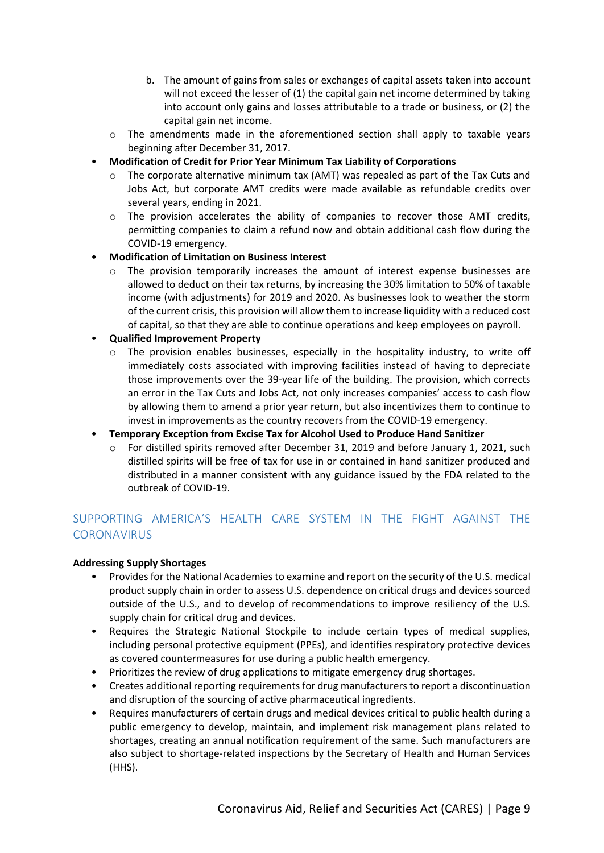- b. The amount of gains from sales or exchanges of capital assets taken into account will not exceed the lesser of (1) the capital gain net income determined by taking into account only gains and losses attributable to a trade or business, or (2) the capital gain net income.
- o The amendments made in the aforementioned section shall apply to taxable years beginning after December 31, 2017.
- **Modification of Credit for Prior Year Minimum Tax Liability of Corporations**
	- $\circ$  The corporate alternative minimum tax (AMT) was repealed as part of the Tax Cuts and Jobs Act, but corporate AMT credits were made available as refundable credits over several years, ending in 2021.
	- $\circ$  The provision accelerates the ability of companies to recover those AMT credits, permitting companies to claim a refund now and obtain additional cash flow during the COVID-19 emergency.
- **Modification of Limitation on Business Interest**
	- $\circ$  The provision temporarily increases the amount of interest expense businesses are allowed to deduct on their tax returns, by increasing the 30% limitation to 50% of taxable income (with adjustments) for 2019 and 2020. As businesses look to weather the storm of the current crisis, this provision will allow them to increase liquidity with a reduced cost of capital, so that they are able to continue operations and keep employees on payroll.

#### • **Qualified Improvement Property**

- $\circ$  The provision enables businesses, especially in the hospitality industry, to write off immediately costs associated with improving facilities instead of having to depreciate those improvements over the 39-year life of the building. The provision, which corrects an error in the Tax Cuts and Jobs Act, not only increases companies' access to cash flow by allowing them to amend a prior year return, but also incentivizes them to continue to invest in improvements as the country recovers from the COVID-19 emergency.
- **Temporary Exception from Excise Tax for Alcohol Used to Produce Hand Sanitizer**
	- o For distilled spirits removed after December 31, 2019 and before January 1, 2021, such distilled spirits will be free of tax for use in or contained in hand sanitizer produced and distributed in a manner consistent with any guidance issued by the FDA related to the outbreak of COVID-19.

# <span id="page-8-0"></span>SUPPORTING AMERICA'S HEALTH CARE SYSTEM IN THE FIGHT AGAINST THE **CORONAVIRUS**

#### **Addressing Supply Shortages**

- Provides for the National Academies to examine and report on the security of the U.S. medical product supply chain in order to assess U.S. dependence on critical drugs and devices sourced outside of the U.S., and to develop of recommendations to improve resiliency of the U.S. supply chain for critical drug and devices.
- Requires the Strategic National Stockpile to include certain types of medical supplies, including personal protective equipment (PPEs), and identifies respiratory protective devices as covered countermeasures for use during a public health emergency.
- Prioritizes the review of drug applications to mitigate emergency drug shortages.
- Creates additional reporting requirements for drug manufacturers to report a discontinuation and disruption of the sourcing of active pharmaceutical ingredients.
- Requires manufacturers of certain drugs and medical devices critical to public health during a public emergency to develop, maintain, and implement risk management plans related to shortages, creating an annual notification requirement of the same. Such manufacturers are also subject to shortage-related inspections by the Secretary of Health and Human Services (HHS).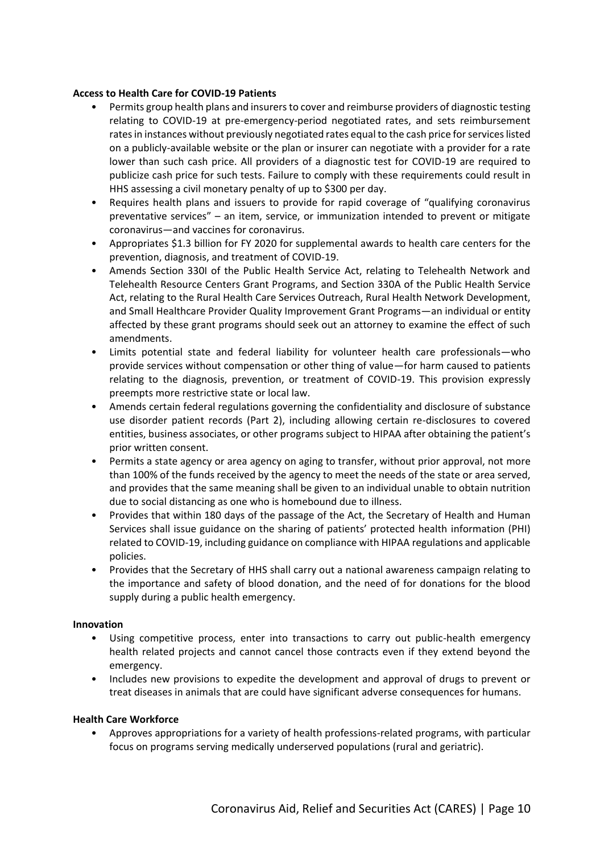#### **Access to Health Care for COVID-19 Patients**

- Permits group health plans and insurers to cover and reimburse providers of diagnostic testing relating to COVID-19 at pre-emergency-period negotiated rates, and sets reimbursement rates in instances without previously negotiated rates equal to the cash price for services listed on a publicly-available website or the plan or insurer can negotiate with a provider for a rate lower than such cash price. All providers of a diagnostic test for COVID-19 are required to publicize cash price for such tests. Failure to comply with these requirements could result in HHS assessing a civil monetary penalty of up to \$300 per day.
- Requires health plans and issuers to provide for rapid coverage of "qualifying coronavirus preventative services" – an item, service, or immunization intended to prevent or mitigate coronavirus—and vaccines for coronavirus.
- Appropriates \$1.3 billion for FY 2020 for supplemental awards to health care centers for the prevention, diagnosis, and treatment of COVID-19.
- Amends Section 330I of the Public Health Service Act, relating to Telehealth Network and Telehealth Resource Centers Grant Programs, and Section 330A of the Public Health Service Act, relating to the Rural Health Care Services Outreach, Rural Health Network Development, and Small Healthcare Provider Quality Improvement Grant Programs—an individual or entity affected by these grant programs should seek out an attorney to examine the effect of such amendments.
- Limits potential state and federal liability for volunteer health care professionals—who provide services without compensation or other thing of value—for harm caused to patients relating to the diagnosis, prevention, or treatment of COVID-19. This provision expressly preempts more restrictive state or local law.
- Amends certain federal regulations governing the confidentiality and disclosure of substance use disorder patient records (Part 2), including allowing certain re-disclosures to covered entities, business associates, or other programs subject to HIPAA after obtaining the patient's prior written consent.
- Permits a state agency or area agency on aging to transfer, without prior approval, not more than 100% of the funds received by the agency to meet the needs of the state or area served, and provides that the same meaning shall be given to an individual unable to obtain nutrition due to social distancing as one who is homebound due to illness.
- Provides that within 180 days of the passage of the Act, the Secretary of Health and Human Services shall issue guidance on the sharing of patients' protected health information (PHI) related to COVID-19, including guidance on compliance with HIPAA regulations and applicable policies.
- Provides that the Secretary of HHS shall carry out a national awareness campaign relating to the importance and safety of blood donation, and the need of for donations for the blood supply during a public health emergency.

#### **Innovation**

- Using competitive process, enter into transactions to carry out public-health emergency health related projects and cannot cancel those contracts even if they extend beyond the emergency.
- Includes new provisions to expedite the development and approval of drugs to prevent or treat diseases in animals that are could have significant adverse consequences for humans.

#### **Health Care Workforce**

• Approves appropriations for a variety of health professions-related programs, with particular focus on programs serving medically underserved populations (rural and geriatric).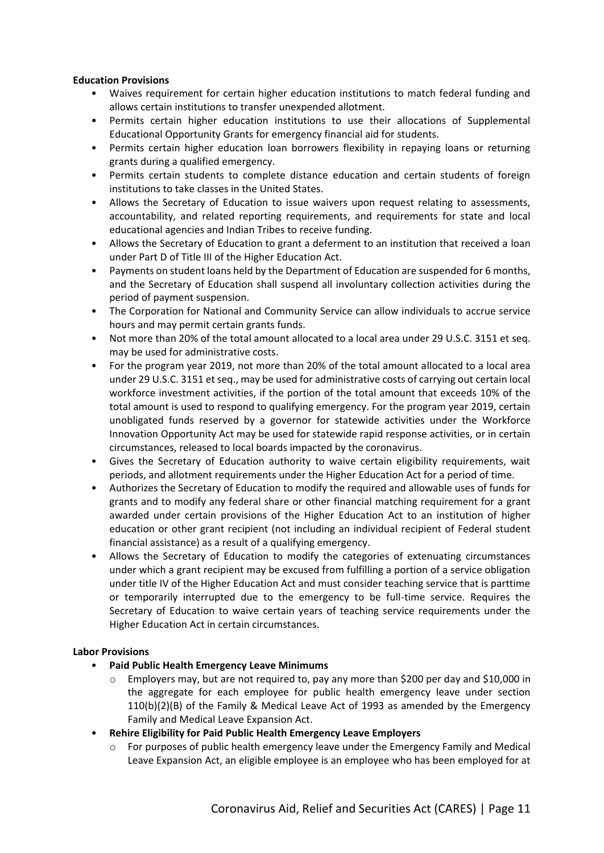#### **Education Provisions**

- Waives requirement for certain higher education institutions to match federal funding and allows certain institutions to transfer unexpended allotment.
- Permits certain higher education institutions to use their allocations of Supplemental Educational Opportunity Grants for emergency financial aid for students.
- Permits certain higher education loan borrowers flexibility in repaying loans or returning grants during a qualified emergency.
- Permits certain students to complete distance education and certain students of foreign institutions to take classes in the United States.
- Allows the Secretary of Education to issue waivers upon request relating to assessments, accountability, and related reporting requirements, and requirements for state and local educational agencies and Indian Tribes to receive funding.
- Allows the Secretary of Education to grant a deferment to an institution that received a loan under Part D of Title III of the Higher Education Act.
- Payments on student loans held by the Department of Education are suspended for 6 months, and the Secretary of Education shall suspend all involuntary collection activities during the period of payment suspension.
- The Corporation for National and Community Service can allow individuals to accrue service hours and may permit certain grants funds.
- Not more than 20% of the total amount allocated to a local area under 29 U.S.C. 3151 et seq. may be used for administrative costs.
- For the program year 2019, not more than 20% of the total amount allocated to a local area under 29 U.S.C. 3151 et seq., may be used for administrative costs of carrying out certain local workforce investment activities, if the portion of the total amount that exceeds 10% of the total amount is used to respond to qualifying emergency. For the program year 2019, certain unobligated funds reserved by a governor for statewide activities under the Workforce Innovation Opportunity Act may be used for statewide rapid response activities, or in certain circumstances, released to local boards impacted by the coronavirus.
- Gives the Secretary of Education authority to waive certain eligibility requirements, wait periods, and allotment requirements under the Higher Education Act for a period of time.
- Authorizes the Secretary of Education to modify the required and allowable uses of funds for grants and to modify any federal share or other financial matching requirement for a grant awarded under certain provisions of the Higher Education Act to an institution of higher education or other grant recipient (not including an individual recipient of Federal student financial assistance) as a result of a qualifying emergency.
- Allows the Secretary of Education to modify the categories of extenuating circumstances under which a grant recipient may be excused from fulfilling a portion of a service obligation under title IV of the Higher Education Act and must consider teaching service that is parttime or temporarily interrupted due to the emergency to be full-time service. Requires the Secretary of Education to waive certain years of teaching service requirements under the Higher Education Act in certain circumstances.

# **Labor Provisions**

- **Paid Public Health Emergency Leave Minimums**
	- o Employers may, but are not required to, pay any more than \$200 per day and \$10,000 in the aggregate for each employee for public health emergency leave under section 110(b)(2)(B) of the Family & Medical Leave Act of 1993 as amended by the Emergency Family and Medical Leave Expansion Act.
- **Rehire Eligibility for Paid Public Health Emergency Leave Employers**
	- o For purposes of public health emergency leave under the Emergency Family and Medical Leave Expansion Act, an eligible employee is an employee who has been employed for at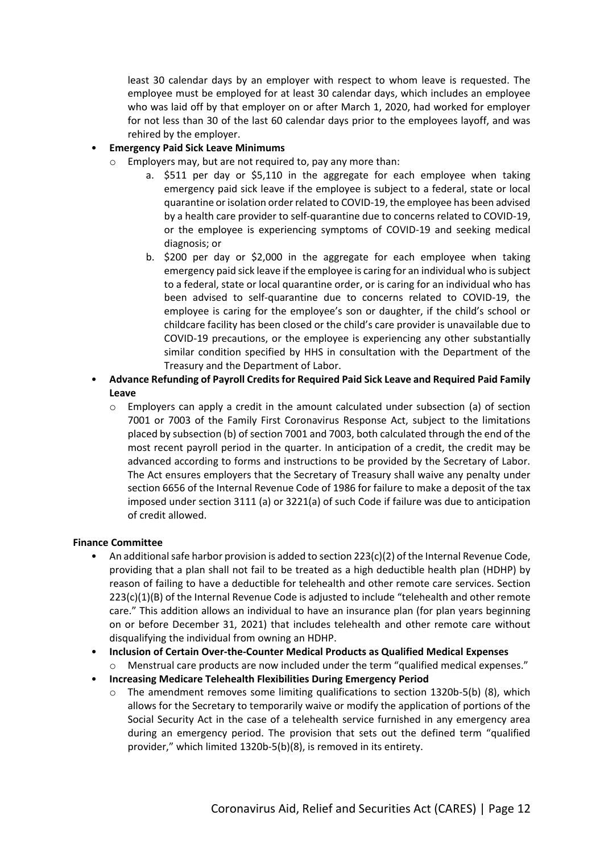least 30 calendar days by an employer with respect to whom leave is requested. The employee must be employed for at least 30 calendar days, which includes an employee who was laid off by that employer on or after March 1, 2020, had worked for employer for not less than 30 of the last 60 calendar days prior to the employees layoff, and was rehired by the employer.

# • **Emergency Paid Sick Leave Minimums**

- o Employers may, but are not required to, pay any more than:
	- a. \$511 per day or \$5,110 in the aggregate for each employee when taking emergency paid sick leave if the employee is subject to a federal, state or local quarantine or isolation order related to COVID-19, the employee has been advised by a health care provider to self-quarantine due to concerns related to COVID-19, or the employee is experiencing symptoms of COVID-19 and seeking medical diagnosis; or
	- b. \$200 per day or \$2,000 in the aggregate for each employee when taking emergency paid sick leave if the employee is caring for an individual who is subject to a federal, state or local quarantine order, or is caring for an individual who has been advised to self-quarantine due to concerns related to COVID-19, the employee is caring for the employee's son or daughter, if the child's school or childcare facility has been closed or the child's care provider is unavailable due to COVID-19 precautions, or the employee is experiencing any other substantially similar condition specified by HHS in consultation with the Department of the Treasury and the Department of Labor.
- **Advance Refunding of Payroll Credits for Required Paid Sick Leave and Required Paid Family Leave**
	- $\circ$  Employers can apply a credit in the amount calculated under subsection (a) of section 7001 or 7003 of the Family First Coronavirus Response Act, subject to the limitations placed by subsection (b) of section 7001 and 7003, both calculated through the end of the most recent payroll period in the quarter. In anticipation of a credit, the credit may be advanced according to forms and instructions to be provided by the Secretary of Labor. The Act ensures employers that the Secretary of Treasury shall waive any penalty under section 6656 of the Internal Revenue Code of 1986 for failure to make a deposit of the tax imposed under section 3111 (a) or 3221(a) of such Code if failure was due to anticipation of credit allowed.

# **Finance Committee**

- An additional safe harbor provision is added to section 223(c)(2) of the Internal Revenue Code, providing that a plan shall not fail to be treated as a high deductible health plan (HDHP) by reason of failing to have a deductible for telehealth and other remote care services. Section 223(c)(1)(B) of the Internal Revenue Code is adjusted to include "telehealth and other remote care." This addition allows an individual to have an insurance plan (for plan years beginning on or before December 31, 2021) that includes telehealth and other remote care without disqualifying the individual from owning an HDHP.
- **Inclusion of Certain Over-the-Counter Medical Products as Qualified Medical Expenses**
	- o Menstrual care products are now included under the term "qualified medical expenses."
- **Increasing Medicare Telehealth Flexibilities During Emergency Period**
	- The amendment removes some limiting qualifications to section  $1320b-5(b)$  (8), which allows for the Secretary to temporarily waive or modify the application of portions of the Social Security Act in the case of a telehealth service furnished in any emergency area during an emergency period. The provision that sets out the defined term "qualified provider," which limited 1320b-5(b)(8), is removed in its entirety.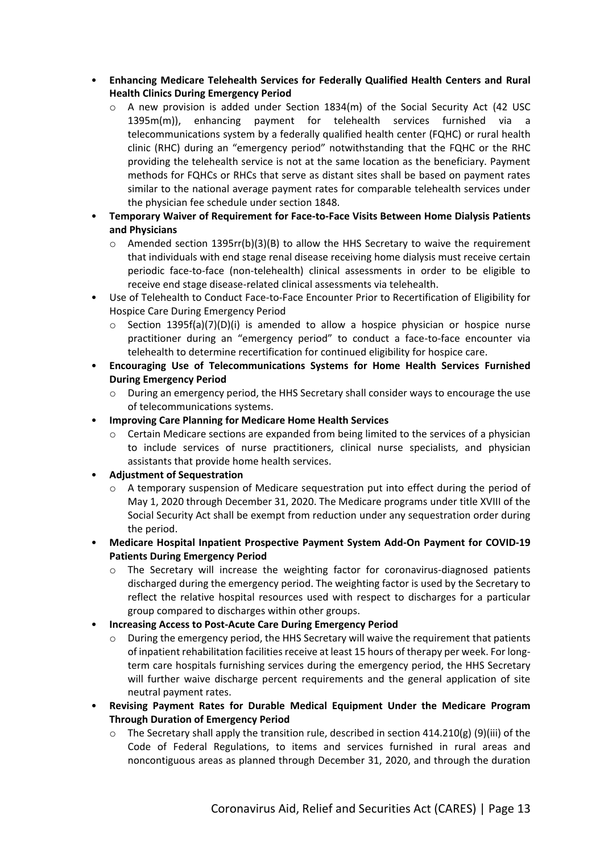- **Enhancing Medicare Telehealth Services for Federally Qualified Health Centers and Rural Health Clinics During Emergency Period**
	- $\circ$  A new provision is added under Section 1834(m) of the Social Security Act (42 USC 1395m(m)), enhancing payment for telehealth services furnished via a telecommunications system by a federally qualified health center (FQHC) or rural health clinic (RHC) during an "emergency period" notwithstanding that the FQHC or the RHC providing the telehealth service is not at the same location as the beneficiary. Payment methods for FQHCs or RHCs that serve as distant sites shall be based on payment rates similar to the national average payment rates for comparable telehealth services under the physician fee schedule under section 1848.
- **Temporary Waiver of Requirement for Face-to-Face Visits Between Home Dialysis Patients and Physicians**
	- $\circ$  Amended section 1395rr(b)(3)(B) to allow the HHS Secretary to waive the requirement that individuals with end stage renal disease receiving home dialysis must receive certain periodic face-to-face (non-telehealth) clinical assessments in order to be eligible to receive end stage disease-related clinical assessments via telehealth.
- Use of Telehealth to Conduct Face-to-Face Encounter Prior to Recertification of Eligibility for Hospice Care During Emergency Period
	- $\circ$  Section 1395f(a)(7)(D)(i) is amended to allow a hospice physician or hospice nurse practitioner during an "emergency period" to conduct a face-to-face encounter via telehealth to determine recertification for continued eligibility for hospice care.
- **Encouraging Use of Telecommunications Systems for Home Health Services Furnished During Emergency Period**
	- o During an emergency period, the HHS Secretary shall consider ways to encourage the use of telecommunications systems.
- **Improving Care Planning for Medicare Home Health Services**
	- o Certain Medicare sections are expanded from being limited to the services of a physician to include services of nurse practitioners, clinical nurse specialists, and physician assistants that provide home health services.
- **Adjustment of Sequestration**
	- $\circ$  A temporary suspension of Medicare sequestration put into effect during the period of May 1, 2020 through December 31, 2020. The Medicare programs under title XVIII of the Social Security Act shall be exempt from reduction under any sequestration order during the period.
- **Medicare Hospital Inpatient Prospective Payment System Add-On Payment for COVID-19 Patients During Emergency Period**
	- o The Secretary will increase the weighting factor for coronavirus-diagnosed patients discharged during the emergency period. The weighting factor is used by the Secretary to reflect the relative hospital resources used with respect to discharges for a particular group compared to discharges within other groups.
- **Increasing Access to Post-Acute Care During Emergency Period**
	- o During the emergency period, the HHS Secretary will waive the requirement that patients of inpatient rehabilitation facilities receive at least 15 hours of therapy per week. For longterm care hospitals furnishing services during the emergency period, the HHS Secretary will further waive discharge percent requirements and the general application of site neutral payment rates.
- **Revising Payment Rates for Durable Medical Equipment Under the Medicare Program Through Duration of Emergency Period**
	- $\circ$  The Secretary shall apply the transition rule, described in section 414.210(g) (9)(iii) of the Code of Federal Regulations, to items and services furnished in rural areas and noncontiguous areas as planned through December 31, 2020, and through the duration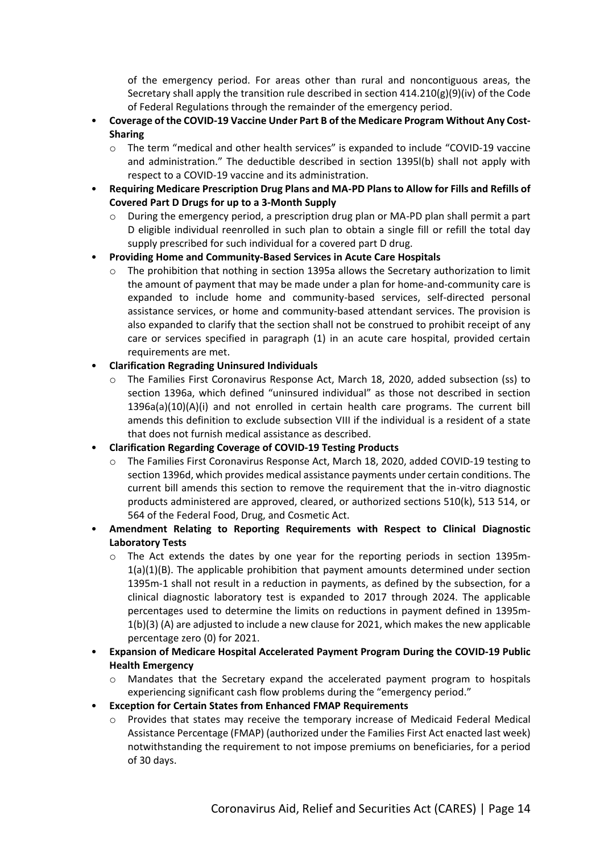of the emergency period. For areas other than rural and noncontiguous areas, the Secretary shall apply the transition rule described in section  $414.210(g)(9)(iv)$  of the Code of Federal Regulations through the remainder of the emergency period.

- **Coverage of the COVID-19 Vaccine Under Part B of the Medicare Program Without Any Cost-Sharing**
	- o The term "medical and other health services" is expanded to include "COVID-19 vaccine and administration." The deductible described in section 1395l(b) shall not apply with respect to a COVID-19 vaccine and its administration.
- **Requiring Medicare Prescription Drug Plans and MA-PD Plans to Allow for Fills and Refills of Covered Part D Drugs for up to a 3-Month Supply**
	- o During the emergency period, a prescription drug plan or MA-PD plan shall permit a part D eligible individual reenrolled in such plan to obtain a single fill or refill the total day supply prescribed for such individual for a covered part D drug.
- **Providing Home and Community-Based Services in Acute Care Hospitals**
	- o The prohibition that nothing in section 1395a allows the Secretary authorization to limit the amount of payment that may be made under a plan for home-and-community care is expanded to include home and community-based services, self-directed personal assistance services, or home and community-based attendant services. The provision is also expanded to clarify that the section shall not be construed to prohibit receipt of any care or services specified in paragraph (1) in an acute care hospital, provided certain requirements are met.
- **Clarification Regrading Uninsured Individuals**
	- o The Families First Coronavirus Response Act, March 18, 2020, added subsection (ss) to section 1396a, which defined "uninsured individual" as those not described in section 1396a(a)(10)(A)(i) and not enrolled in certain health care programs. The current bill amends this definition to exclude subsection VIII if the individual is a resident of a state that does not furnish medical assistance as described.
- **Clarification Regarding Coverage of COVID-19 Testing Products**
	- o The Families First Coronavirus Response Act, March 18, 2020, added COVID-19 testing to section 1396d, which provides medical assistance payments under certain conditions. The current bill amends this section to remove the requirement that the in-vitro diagnostic products administered are approved, cleared, or authorized sections 510(k), 513 514, or 564 of the Federal Food, Drug, and Cosmetic Act.
- **Amendment Relating to Reporting Requirements with Respect to Clinical Diagnostic Laboratory Tests**
	- $\circ$  The Act extends the dates by one year for the reporting periods in section 1395m- $1(a)(1)(B)$ . The applicable prohibition that payment amounts determined under section 1395m-1 shall not result in a reduction in payments, as defined by the subsection, for a clinical diagnostic laboratory test is expanded to 2017 through 2024. The applicable percentages used to determine the limits on reductions in payment defined in 1395m-1(b)(3) (A) are adjusted to include a new clause for 2021, which makes the new applicable percentage zero (0) for 2021.
- **Expansion of Medicare Hospital Accelerated Payment Program During the COVID-19 Public Health Emergency**
	- o Mandates that the Secretary expand the accelerated payment program to hospitals experiencing significant cash flow problems during the "emergency period."
- **Exception for Certain States from Enhanced FMAP Requirements**
	- o Provides that states may receive the temporary increase of Medicaid Federal Medical Assistance Percentage (FMAP) (authorized under the Families First Act enacted last week) notwithstanding the requirement to not impose premiums on beneficiaries, for a period of 30 days.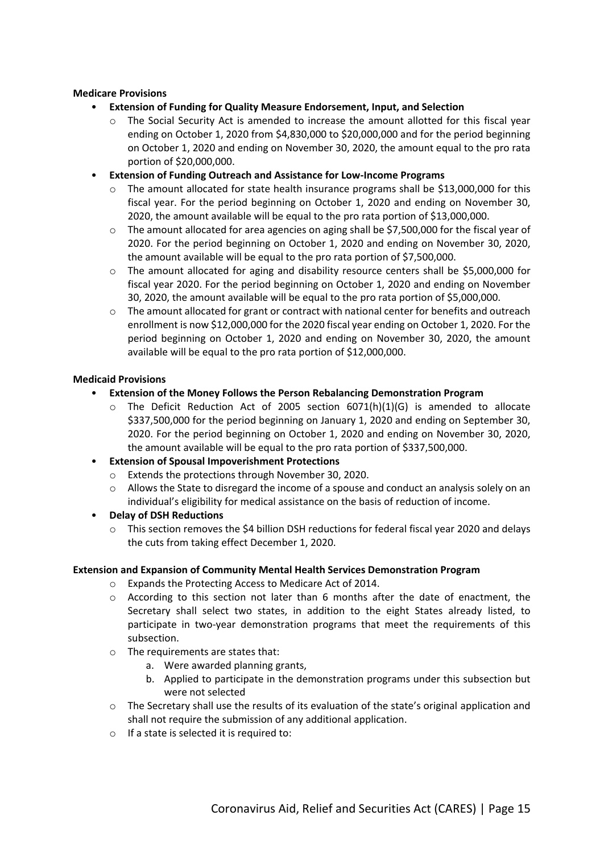#### **Medicare Provisions**

- **Extension of Funding for Quality Measure Endorsement, Input, and Selection**
	- o The Social Security Act is amended to increase the amount allotted for this fiscal year ending on October 1, 2020 from \$4,830,000 to \$20,000,000 and for the period beginning on October 1, 2020 and ending on November 30, 2020, the amount equal to the pro rata portion of \$20,000,000.
- **Extension of Funding Outreach and Assistance for Low-Income Programs**
	- $\circ$  The amount allocated for state health insurance programs shall be \$13,000,000 for this fiscal year. For the period beginning on October 1, 2020 and ending on November 30, 2020, the amount available will be equal to the pro rata portion of \$13,000,000.
	- $\circ$  The amount allocated for area agencies on aging shall be \$7,500,000 for the fiscal year of 2020. For the period beginning on October 1, 2020 and ending on November 30, 2020, the amount available will be equal to the pro rata portion of \$7,500,000.
	- o The amount allocated for aging and disability resource centers shall be \$5,000,000 for fiscal year 2020. For the period beginning on October 1, 2020 and ending on November 30, 2020, the amount available will be equal to the pro rata portion of \$5,000,000.
	- o The amount allocated for grant or contract with national center for benefits and outreach enrollment is now \$12,000,000 for the 2020 fiscal year ending on October 1, 2020. For the period beginning on October 1, 2020 and ending on November 30, 2020, the amount available will be equal to the pro rata portion of \$12,000,000.

#### **Medicaid Provisions**

- **Extension of the Money Follows the Person Rebalancing Demonstration Program**
	- $\circ$  The Deficit Reduction Act of 2005 section 6071(h)(1)(G) is amended to allocate \$337,500,000 for the period beginning on January 1, 2020 and ending on September 30, 2020. For the period beginning on October 1, 2020 and ending on November 30, 2020, the amount available will be equal to the pro rata portion of \$337,500,000.
- **Extension of Spousal Impoverishment Protections**
	- o Extends the protections through November 30, 2020.
	- o Allows the State to disregard the income of a spouse and conduct an analysis solely on an individual's eligibility for medical assistance on the basis of reduction of income.
- **Delay of DSH Reductions**
	- $\circ$  This section removes the \$4 billion DSH reductions for federal fiscal year 2020 and delays the cuts from taking effect December 1, 2020.

#### **Extension and Expansion of Community Mental Health Services Demonstration Program**

- o Expands the Protecting Access to Medicare Act of 2014.
- $\circ$  According to this section not later than 6 months after the date of enactment, the Secretary shall select two states, in addition to the eight States already listed, to participate in two-year demonstration programs that meet the requirements of this subsection.
- o The requirements are states that:
	- a. Were awarded planning grants,
	- b. Applied to participate in the demonstration programs under this subsection but were not selected
- $\circ$  The Secretary shall use the results of its evaluation of the state's original application and shall not require the submission of any additional application.
- $\circ$  If a state is selected it is required to: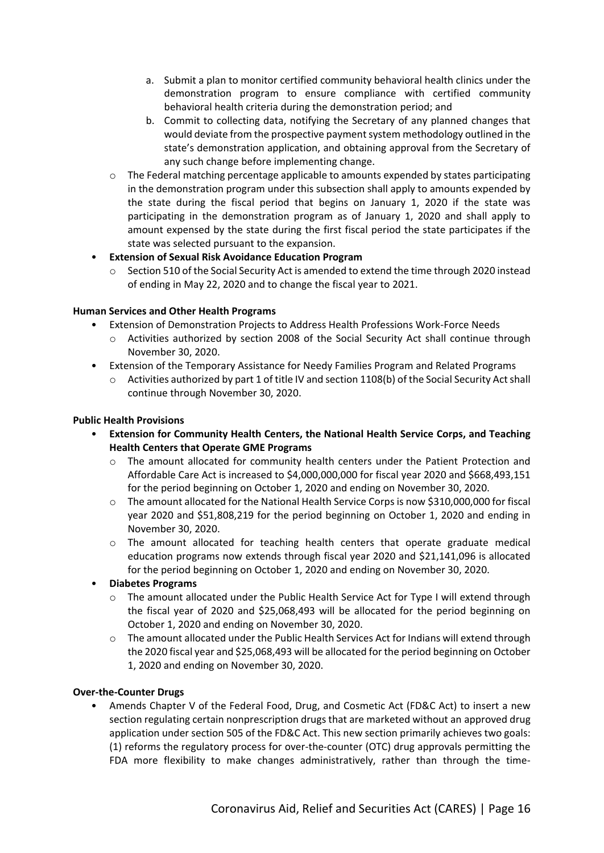- a. Submit a plan to monitor certified community behavioral health clinics under the demonstration program to ensure compliance with certified community behavioral health criteria during the demonstration period; and
- b. Commit to collecting data, notifying the Secretary of any planned changes that would deviate from the prospective payment system methodology outlined in the state's demonstration application, and obtaining approval from the Secretary of any such change before implementing change.
- o The Federal matching percentage applicable to amounts expended by states participating in the demonstration program under this subsection shall apply to amounts expended by the state during the fiscal period that begins on January 1, 2020 if the state was participating in the demonstration program as of January 1, 2020 and shall apply to amount expensed by the state during the first fiscal period the state participates if the state was selected pursuant to the expansion.
- **Extension of Sexual Risk Avoidance Education Program**
	- o Section 510 of the Social Security Act is amended to extend the time through 2020 instead of ending in May 22, 2020 and to change the fiscal year to 2021.

#### **Human Services and Other Health Programs**

- Extension of Demonstration Projects to Address Health Professions Work-Force Needs
	- o Activities authorized by section 2008 of the Social Security Act shall continue through November 30, 2020.
- Extension of the Temporary Assistance for Needy Families Program and Related Programs
	- o Activities authorized by part 1 of title IV and section 1108(b) of the Social Security Act shall continue through November 30, 2020.

#### **Public Health Provisions**

- **Extension for Community Health Centers, the National Health Service Corps, and Teaching Health Centers that Operate GME Programs**
	- o The amount allocated for community health centers under the Patient Protection and Affordable Care Act is increased to \$4,000,000,000 for fiscal year 2020 and \$668,493,151 for the period beginning on October 1, 2020 and ending on November 30, 2020.
	- o The amount allocated for the National Health Service Corps is now \$310,000,000 for fiscal year 2020 and \$51,808,219 for the period beginning on October 1, 2020 and ending in November 30, 2020.
	- $\circ$  The amount allocated for teaching health centers that operate graduate medical education programs now extends through fiscal year 2020 and \$21,141,096 is allocated for the period beginning on October 1, 2020 and ending on November 30, 2020.

# • **Diabetes Programs**

- o The amount allocated under the Public Health Service Act for Type I will extend through the fiscal year of 2020 and \$25,068,493 will be allocated for the period beginning on October 1, 2020 and ending on November 30, 2020.
- o The amount allocated under the Public Health Services Act for Indians will extend through the 2020 fiscal year and \$25,068,493 will be allocated for the period beginning on October 1, 2020 and ending on November 30, 2020.

# **Over-the-Counter Drugs**

• Amends Chapter V of the Federal Food, Drug, and Cosmetic Act (FD&C Act) to insert a new section regulating certain nonprescription drugs that are marketed without an approved drug application under section 505 of the FD&C Act. This new section primarily achieves two goals: (1) reforms the regulatory process for over-the-counter (OTC) drug approvals permitting the FDA more flexibility to make changes administratively, rather than through the time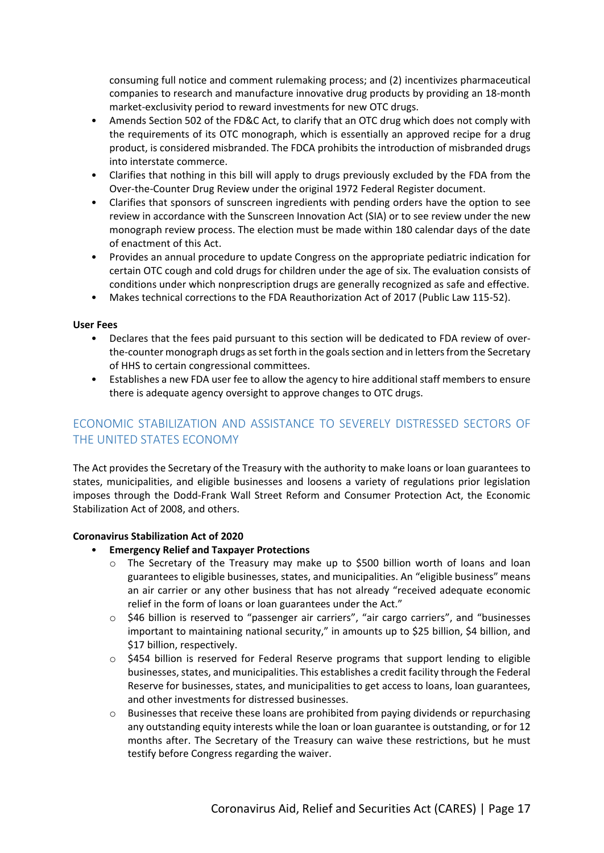consuming full notice and comment rulemaking process; and (2) incentivizes pharmaceutical companies to research and manufacture innovative drug products by providing an 18-month market-exclusivity period to reward investments for new OTC drugs.

- Amends Section 502 of the FD&C Act, to clarify that an OTC drug which does not comply with the requirements of its OTC monograph, which is essentially an approved recipe for a drug product, is considered misbranded. The FDCA prohibits the introduction of misbranded drugs into interstate commerce.
- Clarifies that nothing in this bill will apply to drugs previously excluded by the FDA from the Over-the-Counter Drug Review under the original 1972 Federal Register document.
- Clarifies that sponsors of sunscreen ingredients with pending orders have the option to see review in accordance with the Sunscreen Innovation Act (SIA) or to see review under the new monograph review process. The election must be made within 180 calendar days of the date of enactment of this Act.
- Provides an annual procedure to update Congress on the appropriate pediatric indication for certain OTC cough and cold drugs for children under the age of six. The evaluation consists of conditions under which nonprescription drugs are generally recognized as safe and effective.
- Makes technical corrections to the FDA Reauthorization Act of 2017 (Public Law 115-52).

#### **User Fees**

- Declares that the fees paid pursuant to this section will be dedicated to FDA review of overthe-counter monograph drugs as set forth in the goals section and in letters from the Secretary of HHS to certain congressional committees.
- Establishes a new FDA user fee to allow the agency to hire additional staff members to ensure there is adequate agency oversight to approve changes to OTC drugs.

# <span id="page-16-0"></span>ECONOMIC STABILIZATION AND ASSISTANCE TO SEVERELY DISTRESSED SECTORS OF THE UNITED STATES ECONOMY

The Act provides the Secretary of the Treasury with the authority to make loans or loan guarantees to states, municipalities, and eligible businesses and loosens a variety of regulations prior legislation imposes through the Dodd-Frank Wall Street Reform and Consumer Protection Act, the Economic Stabilization Act of 2008, and others.

#### **Coronavirus Stabilization Act of 2020**

- **Emergency Relief and Taxpayer Protections**
	- o The Secretary of the Treasury may make up to \$500 billion worth of loans and loan guarantees to eligible businesses, states, and municipalities. An "eligible business" means an air carrier or any other business that has not already "received adequate economic relief in the form of loans or loan guarantees under the Act."
	- o \$46 billion is reserved to "passenger air carriers", "air cargo carriers", and "businesses important to maintaining national security," in amounts up to \$25 billion, \$4 billion, and \$17 billion, respectively.
	- o \$454 billion is reserved for Federal Reserve programs that support lending to eligible businesses, states, and municipalities. This establishes a credit facility through the Federal Reserve for businesses, states, and municipalities to get access to loans, loan guarantees, and other investments for distressed businesses.
	- $\circ$  Businesses that receive these loans are prohibited from paying dividends or repurchasing any outstanding equity interests while the loan or loan guarantee is outstanding, or for 12 months after. The Secretary of the Treasury can waive these restrictions, but he must testify before Congress regarding the waiver.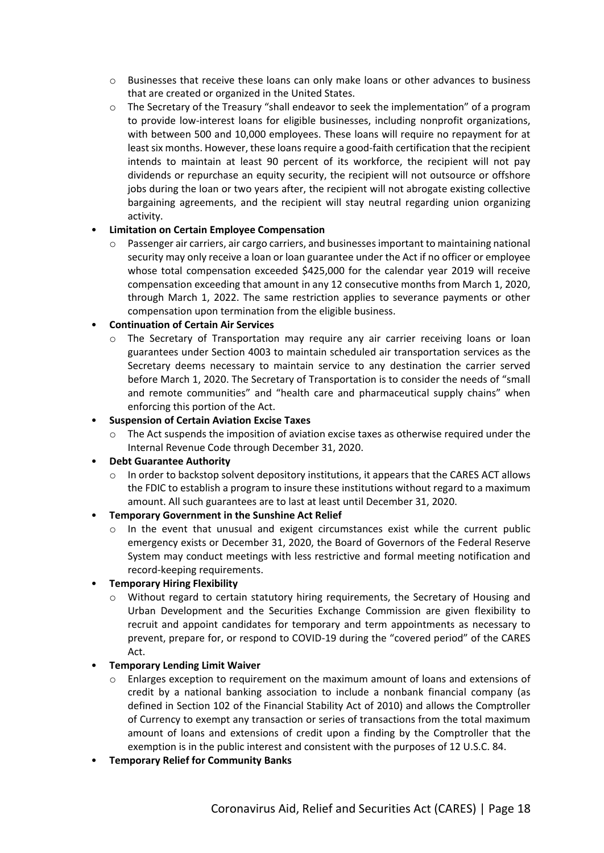- o Businesses that receive these loans can only make loans or other advances to business that are created or organized in the United States.
- $\circ$  The Secretary of the Treasury "shall endeavor to seek the implementation" of a program to provide low-interest loans for eligible businesses, including nonprofit organizations, with between 500 and 10,000 employees. These loans will require no repayment for at least six months. However, these loans require a good-faith certification that the recipient intends to maintain at least 90 percent of its workforce, the recipient will not pay dividends or repurchase an equity security, the recipient will not outsource or offshore jobs during the loan or two years after, the recipient will not abrogate existing collective bargaining agreements, and the recipient will stay neutral regarding union organizing activity.

#### • **Limitation on Certain Employee Compensation**

o Passenger air carriers, air cargo carriers, and businesses important to maintaining national security may only receive a loan or loan guarantee under the Act if no officer or employee whose total compensation exceeded \$425,000 for the calendar year 2019 will receive compensation exceeding that amount in any 12 consecutive months from March 1, 2020, through March 1, 2022. The same restriction applies to severance payments or other compensation upon termination from the eligible business.

#### • **Continuation of Certain Air Services**

The Secretary of Transportation may require any air carrier receiving loans or loan guarantees under Section 4003 to maintain scheduled air transportation services as the Secretary deems necessary to maintain service to any destination the carrier served before March 1, 2020. The Secretary of Transportation is to consider the needs of "small and remote communities" and "health care and pharmaceutical supply chains" when enforcing this portion of the Act.

#### • **Suspension of Certain Aviation Excise Taxes**

o The Act suspends the imposition of aviation excise taxes as otherwise required under the Internal Revenue Code through December 31, 2020.

#### • **Debt Guarantee Authority**

o In order to backstop solvent depository institutions, it appears that the CARES ACT allows the FDIC to establish a program to insure these institutions without regard to a maximum amount. All such guarantees are to last at least until December 31, 2020.

# • **Temporary Government in the Sunshine Act Relief**

 $\circ$  In the event that unusual and exigent circumstances exist while the current public emergency exists or December 31, 2020, the Board of Governors of the Federal Reserve System may conduct meetings with less restrictive and formal meeting notification and record-keeping requirements.

#### • **Temporary Hiring Flexibility**

o Without regard to certain statutory hiring requirements, the Secretary of Housing and Urban Development and the Securities Exchange Commission are given flexibility to recruit and appoint candidates for temporary and term appointments as necessary to prevent, prepare for, or respond to COVID-19 during the "covered period" of the CARES Act.

# • **Temporary Lending Limit Waiver**

- $\circ$  Enlarges exception to requirement on the maximum amount of loans and extensions of credit by a national banking association to include a nonbank financial company (as defined in Section 102 of the Financial Stability Act of 2010) and allows the Comptroller of Currency to exempt any transaction or series of transactions from the total maximum amount of loans and extensions of credit upon a finding by the Comptroller that the exemption is in the public interest and consistent with the purposes of 12 U.S.C. 84.
- **Temporary Relief for Community Banks**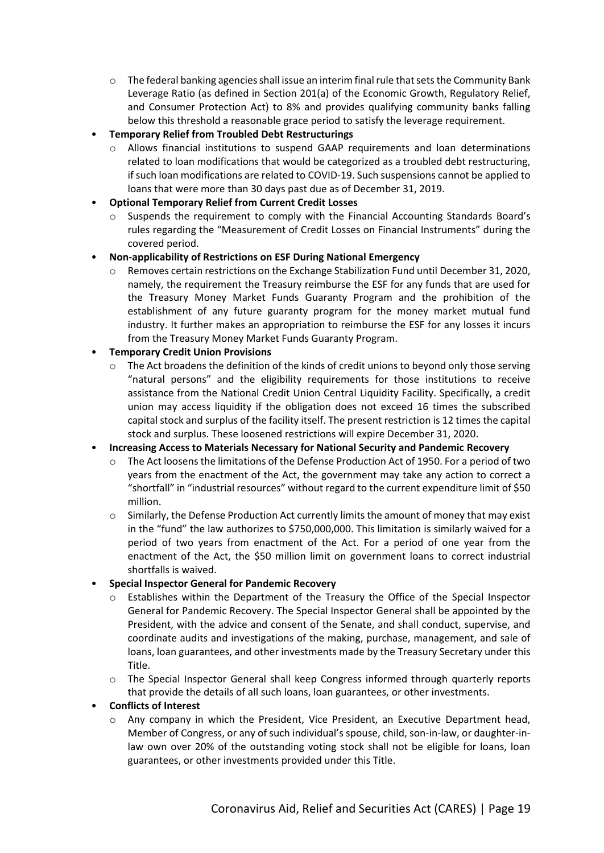- $\circ$  The federal banking agencies shall issue an interim final rule that sets the Community Bank Leverage Ratio (as defined in Section 201(a) of the Economic Growth, Regulatory Relief, and Consumer Protection Act) to 8% and provides qualifying community banks falling below this threshold a reasonable grace period to satisfy the leverage requirement.
- **Temporary Relief from Troubled Debt Restructurings**
	- o Allows financial institutions to suspend GAAP requirements and loan determinations related to loan modifications that would be categorized as a troubled debt restructuring, if such loan modifications are related to COVID-19. Such suspensions cannot be applied to loans that were more than 30 days past due as of December 31, 2019.
- **Optional Temporary Relief from Current Credit Losses**
	- o Suspends the requirement to comply with the Financial Accounting Standards Board's rules regarding the "Measurement of Credit Losses on Financial Instruments" during the covered period.
- **Non-applicability of Restrictions on ESF During National Emergency**
	- o Removes certain restrictions on the Exchange Stabilization Fund until December 31, 2020, namely, the requirement the Treasury reimburse the ESF for any funds that are used for the Treasury Money Market Funds Guaranty Program and the prohibition of the establishment of any future guaranty program for the money market mutual fund industry. It further makes an appropriation to reimburse the ESF for any losses it incurs from the Treasury Money Market Funds Guaranty Program.

#### • **Temporary Credit Union Provisions**

o The Act broadens the definition of the kinds of credit unions to beyond only those serving "natural persons" and the eligibility requirements for those institutions to receive assistance from the National Credit Union Central Liquidity Facility. Specifically, a credit union may access liquidity if the obligation does not exceed 16 times the subscribed capital stock and surplus of the facility itself. The present restriction is 12 times the capital stock and surplus. These loosened restrictions will expire December 31, 2020.

#### • **Increasing Access to Materials Necessary for National Security and Pandemic Recovery**

- o The Act loosens the limitations of the Defense Production Act of 1950. For a period of two years from the enactment of the Act, the government may take any action to correct a "shortfall" in "industrial resources" without regard to the current expenditure limit of \$50 million.
- o Similarly, the Defense Production Act currently limits the amount of money that may exist in the "fund" the law authorizes to \$750,000,000. This limitation is similarly waived for a period of two years from enactment of the Act. For a period of one year from the enactment of the Act, the \$50 million limit on government loans to correct industrial shortfalls is waived.

#### • **Special Inspector General for Pandemic Recovery**

- o Establishes within the Department of the Treasury the Office of the Special Inspector General for Pandemic Recovery. The Special Inspector General shall be appointed by the President, with the advice and consent of the Senate, and shall conduct, supervise, and coordinate audits and investigations of the making, purchase, management, and sale of loans, loan guarantees, and other investments made by the Treasury Secretary under this Title.
- o The Special Inspector General shall keep Congress informed through quarterly reports that provide the details of all such loans, loan guarantees, or other investments.

# • **Conflicts of Interest**

o Any company in which the President, Vice President, an Executive Department head, Member of Congress, or any of such individual's spouse, child, son-in-law, or daughter-inlaw own over 20% of the outstanding voting stock shall not be eligible for loans, loan guarantees, or other investments provided under this Title.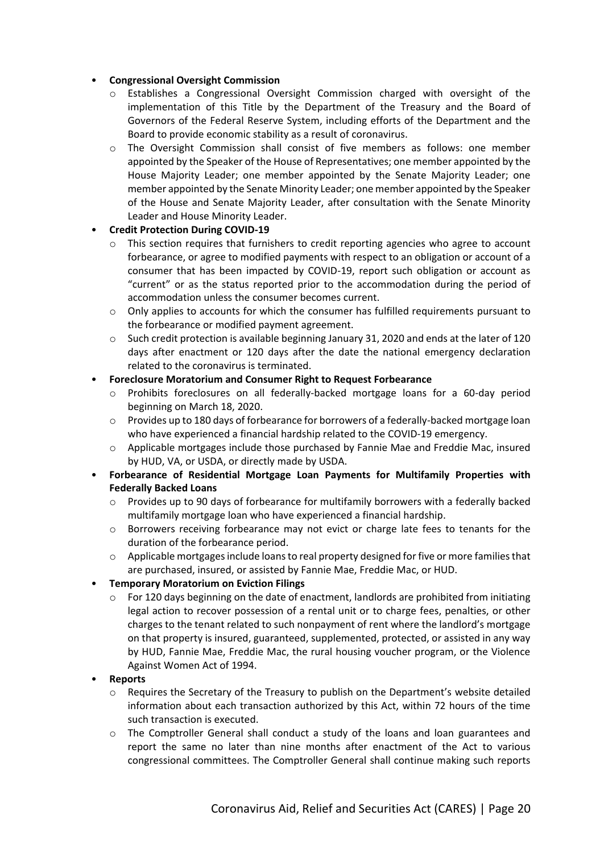## • **Congressional Oversight Commission**

- o Establishes a Congressional Oversight Commission charged with oversight of the implementation of this Title by the Department of the Treasury and the Board of Governors of the Federal Reserve System, including efforts of the Department and the Board to provide economic stability as a result of coronavirus.
- o The Oversight Commission shall consist of five members as follows: one member appointed by the Speaker of the House of Representatives; one member appointed by the House Majority Leader; one member appointed by the Senate Majority Leader; one member appointed by the Senate Minority Leader; one member appointed by the Speaker of the House and Senate Majority Leader, after consultation with the Senate Minority Leader and House Minority Leader.

#### • **Credit Protection During COVID-19**

- o This section requires that furnishers to credit reporting agencies who agree to account forbearance, or agree to modified payments with respect to an obligation or account of a consumer that has been impacted by COVID-19, report such obligation or account as "current" or as the status reported prior to the accommodation during the period of accommodation unless the consumer becomes current.
- o Only applies to accounts for which the consumer has fulfilled requirements pursuant to the forbearance or modified payment agreement.
- $\circ$  Such credit protection is available beginning January 31, 2020 and ends at the later of 120 days after enactment or 120 days after the date the national emergency declaration related to the coronavirus is terminated.

#### • **Foreclosure Moratorium and Consumer Right to Request Forbearance**

- o Prohibits foreclosures on all federally-backed mortgage loans for a 60-day period beginning on March 18, 2020.
- $\circ$  Provides up to 180 days of forbearance for borrowers of a federally-backed mortgage loan who have experienced a financial hardship related to the COVID-19 emergency.
- o Applicable mortgages include those purchased by Fannie Mae and Freddie Mac, insured by HUD, VA, or USDA, or directly made by USDA.
- **Forbearance of Residential Mortgage Loan Payments for Multifamily Properties with Federally Backed Loans**
	- o Provides up to 90 days of forbearance for multifamily borrowers with a federally backed multifamily mortgage loan who have experienced a financial hardship.
	- $\circ$  Borrowers receiving forbearance may not evict or charge late fees to tenants for the duration of the forbearance period.
	- o Applicable mortgages include loans to real property designed for five or more families that are purchased, insured, or assisted by Fannie Mae, Freddie Mac, or HUD.

# • **Temporary Moratorium on Eviction Filings**

o For 120 days beginning on the date of enactment, landlords are prohibited from initiating legal action to recover possession of a rental unit or to charge fees, penalties, or other charges to the tenant related to such nonpayment of rent where the landlord's mortgage on that property is insured, guaranteed, supplemented, protected, or assisted in any way by HUD, Fannie Mae, Freddie Mac, the rural housing voucher program, or the Violence Against Women Act of 1994.

#### • **Reports**

- o Requires the Secretary of the Treasury to publish on the Department's website detailed information about each transaction authorized by this Act, within 72 hours of the time such transaction is executed.
- o The Comptroller General shall conduct a study of the loans and loan guarantees and report the same no later than nine months after enactment of the Act to various congressional committees. The Comptroller General shall continue making such reports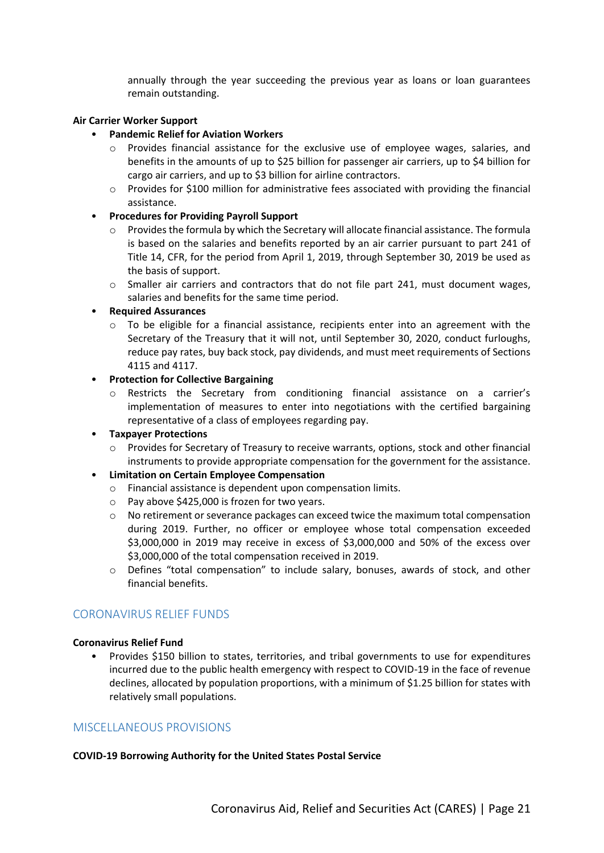annually through the year succeeding the previous year as loans or loan guarantees remain outstanding.

#### **Air Carrier Worker Support**

- **Pandemic Relief for Aviation Workers**
	- o Provides financial assistance for the exclusive use of employee wages, salaries, and benefits in the amounts of up to \$25 billion for passenger air carriers, up to \$4 billion for cargo air carriers, and up to \$3 billion for airline contractors.
	- $\circ$  Provides for \$100 million for administrative fees associated with providing the financial assistance.
- **Procedures for Providing Payroll Support**
	- $\circ$  Provides the formula by which the Secretary will allocate financial assistance. The formula is based on the salaries and benefits reported by an air carrier pursuant to part 241 of Title 14, CFR, for the period from April 1, 2019, through September 30, 2019 be used as the basis of support.
	- $\circ$  Smaller air carriers and contractors that do not file part 241, must document wages, salaries and benefits for the same time period.

#### • **Required Assurances**

- $\circ$  To be eligible for a financial assistance, recipients enter into an agreement with the Secretary of the Treasury that it will not, until September 30, 2020, conduct furloughs, reduce pay rates, buy back stock, pay dividends, and must meet requirements of Sections 4115 and 4117.
- **Protection for Collective Bargaining**
	- o Restricts the Secretary from conditioning financial assistance on a carrier's implementation of measures to enter into negotiations with the certified bargaining representative of a class of employees regarding pay.

# • **Taxpayer Protections**

o Provides for Secretary of Treasury to receive warrants, options, stock and other financial instruments to provide appropriate compensation for the government for the assistance.

# • **Limitation on Certain Employee Compensation**

- o Financial assistance is dependent upon compensation limits.
- o Pay above \$425,000 is frozen for two years.
- o No retirement or severance packages can exceed twice the maximum total compensation during 2019. Further, no officer or employee whose total compensation exceeded \$3,000,000 in 2019 may receive in excess of \$3,000,000 and 50% of the excess over \$3,000,000 of the total compensation received in 2019.
- o Defines "total compensation" to include salary, bonuses, awards of stock, and other financial benefits.

# <span id="page-20-0"></span>CORONAVIRUS RELIEF FUNDS

#### **Coronavirus Relief Fund**

• Provides \$150 billion to states, territories, and tribal governments to use for expenditures incurred due to the public health emergency with respect to COVID-19 in the face of revenue declines, allocated by population proportions, with a minimum of \$1.25 billion for states with relatively small populations.

# <span id="page-20-1"></span>MISCELLANEOUS PROVISIONS

#### **COVID-19 Borrowing Authority for the United States Postal Service**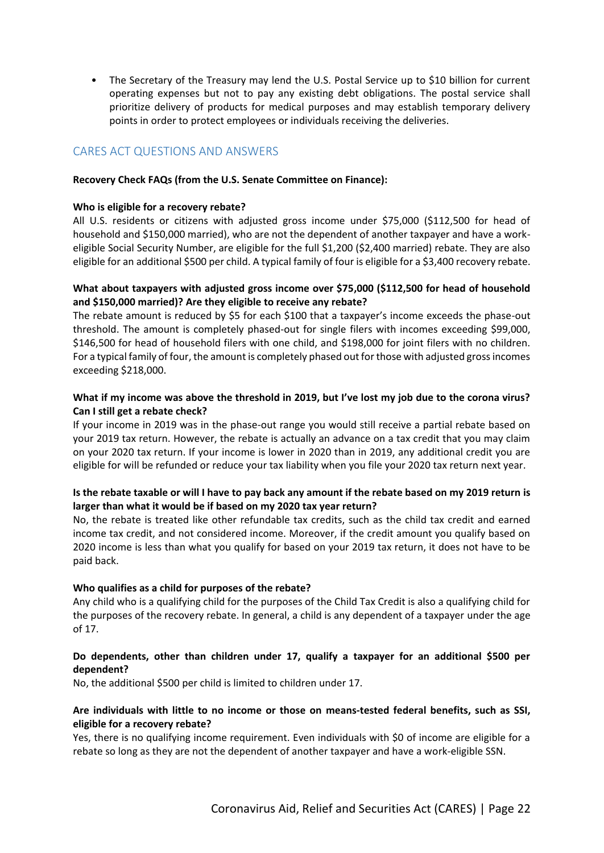• The Secretary of the Treasury may lend the U.S. Postal Service up to \$10 billion for current operating expenses but not to pay any existing debt obligations. The postal service shall prioritize delivery of products for medical purposes and may establish temporary delivery points in order to protect employees or individuals receiving the deliveries.

# <span id="page-21-0"></span>CARES ACT QUESTIONS AND ANSWERS

#### **Recovery Check FAQs (from the U.S. Senate Committee on Finance):**

#### **Who is eligible for a recovery rebate?**

All U.S. residents or citizens with adjusted gross income under \$75,000 (\$112,500 for head of household and \$150,000 married), who are not the dependent of another taxpayer and have a workeligible Social Security Number, are eligible for the full \$1,200 (\$2,400 married) rebate. They are also eligible for an additional \$500 per child. A typical family of four is eligible for a \$3,400 recovery rebate.

#### **What about taxpayers with adjusted gross income over \$75,000 (\$112,500 for head of household and \$150,000 married)? Are they eligible to receive any rebate?**

The rebate amount is reduced by \$5 for each \$100 that a taxpayer's income exceeds the phase-out threshold. The amount is completely phased-out for single filers with incomes exceeding \$99,000, \$146,500 for head of household filers with one child, and \$198,000 for joint filers with no children. For a typical family of four, the amount is completely phased out for those with adjusted gross incomes exceeding \$218,000.

#### **What if my income was above the threshold in 2019, but I've lost my job due to the corona virus? Can I still get a rebate check?**

If your income in 2019 was in the phase-out range you would still receive a partial rebate based on your 2019 tax return. However, the rebate is actually an advance on a tax credit that you may claim on your 2020 tax return. If your income is lower in 2020 than in 2019, any additional credit you are eligible for will be refunded or reduce your tax liability when you file your 2020 tax return next year.

#### **Is the rebate taxable or will I have to pay back any amount if the rebate based on my 2019 return is larger than what it would be if based on my 2020 tax year return?**

No, the rebate is treated like other refundable tax credits, such as the child tax credit and earned income tax credit, and not considered income. Moreover, if the credit amount you qualify based on 2020 income is less than what you qualify for based on your 2019 tax return, it does not have to be paid back.

#### **Who qualifies as a child for purposes of the rebate?**

Any child who is a qualifying child for the purposes of the Child Tax Credit is also a qualifying child for the purposes of the recovery rebate. In general, a child is any dependent of a taxpayer under the age of 17.

#### **Do dependents, other than children under 17, qualify a taxpayer for an additional \$500 per dependent?**

No, the additional \$500 per child is limited to children under 17.

#### **Are individuals with little to no income or those on means-tested federal benefits, such as SSI, eligible for a recovery rebate?**

Yes, there is no qualifying income requirement. Even individuals with \$0 of income are eligible for a rebate so long as they are not the dependent of another taxpayer and have a work-eligible SSN.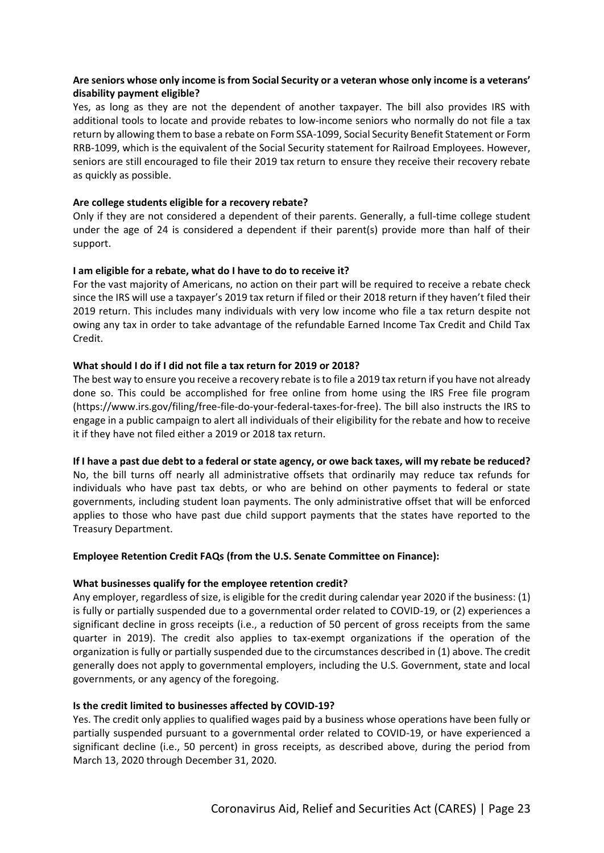# **Are seniors whose only income is from Social Security or a veteran whose only income is a veterans' disability payment eligible?**

Yes, as long as they are not the dependent of another taxpayer. The bill also provides IRS with additional tools to locate and provide rebates to low-income seniors who normally do not file a tax return by allowing them to base a rebate on Form SSA-1099, Social Security Benefit Statement or Form RRB-1099, which is the equivalent of the Social Security statement for Railroad Employees. However, seniors are still encouraged to file their 2019 tax return to ensure they receive their recovery rebate as quickly as possible.

#### **Are college students eligible for a recovery rebate?**

Only if they are not considered a dependent of their parents. Generally, a full-time college student under the age of 24 is considered a dependent if their parent(s) provide more than half of their support.

#### **I am eligible for a rebate, what do I have to do to receive it?**

For the vast majority of Americans, no action on their part will be required to receive a rebate check since the IRS will use a taxpayer's 2019 tax return if filed or their 2018 return if they haven't filed their 2019 return. This includes many individuals with very low income who file a tax return despite not owing any tax in order to take advantage of the refundable Earned Income Tax Credit and Child Tax Credit.

#### **What should I do if I did not file a tax return for 2019 or 2018?**

The best way to ensure you receive a recovery rebate is to file a 2019 tax return if you have not already done so. This could be accomplished for free online from home using the IRS Free file program (https://www.irs.gov/filing/free-file-do-your-federal-taxes-for-free). The bill also instructs the IRS to engage in a public campaign to alert all individuals of their eligibility for the rebate and how to receive it if they have not filed either a 2019 or 2018 tax return.

**If I have a past due debt to a federal or state agency, or owe back taxes, will my rebate be reduced?** No, the bill turns off nearly all administrative offsets that ordinarily may reduce tax refunds for individuals who have past tax debts, or who are behind on other payments to federal or state governments, including student loan payments. The only administrative offset that will be enforced applies to those who have past due child support payments that the states have reported to the Treasury Department.

#### **Employee Retention Credit FAQs (from the U.S. Senate Committee on Finance):**

#### **What businesses qualify for the employee retention credit?**

Any employer, regardless of size, is eligible for the credit during calendar year 2020 if the business: (1) is fully or partially suspended due to a governmental order related to COVID-19, or (2) experiences a significant decline in gross receipts (i.e., a reduction of 50 percent of gross receipts from the same quarter in 2019). The credit also applies to tax-exempt organizations if the operation of the organization is fully or partially suspended due to the circumstances described in (1) above. The credit generally does not apply to governmental employers, including the U.S. Government, state and local governments, or any agency of the foregoing.

#### **Is the credit limited to businesses affected by COVID-19?**

Yes. The credit only applies to qualified wages paid by a business whose operations have been fully or partially suspended pursuant to a governmental order related to COVID-19, or have experienced a significant decline (i.e., 50 percent) in gross receipts, as described above, during the period from March 13, 2020 through December 31, 2020.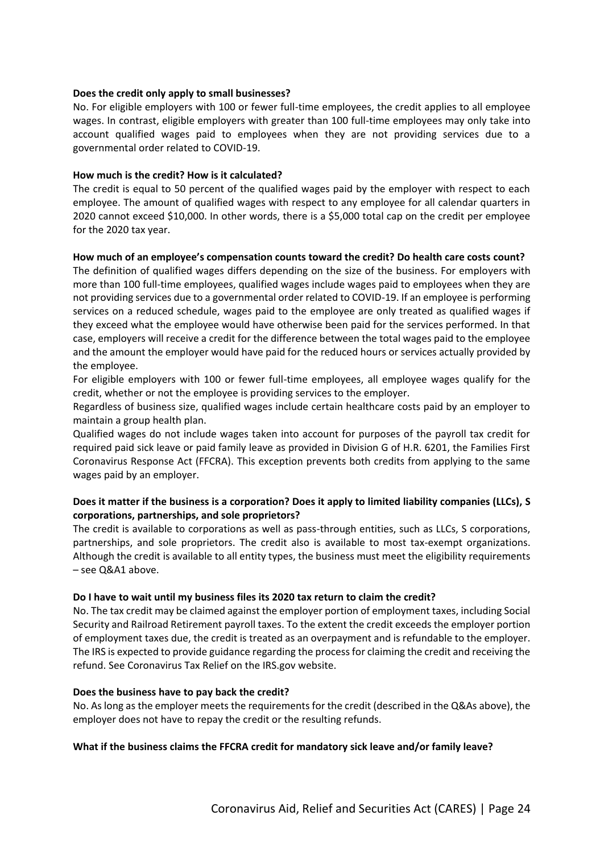#### **Does the credit only apply to small businesses?**

No. For eligible employers with 100 or fewer full-time employees, the credit applies to all employee wages. In contrast, eligible employers with greater than 100 full-time employees may only take into account qualified wages paid to employees when they are not providing services due to a governmental order related to COVID-19.

#### **How much is the credit? How is it calculated?**

The credit is equal to 50 percent of the qualified wages paid by the employer with respect to each employee. The amount of qualified wages with respect to any employee for all calendar quarters in 2020 cannot exceed \$10,000. In other words, there is a \$5,000 total cap on the credit per employee for the 2020 tax year.

#### **How much of an employee's compensation counts toward the credit? Do health care costs count?**

The definition of qualified wages differs depending on the size of the business. For employers with more than 100 full-time employees, qualified wages include wages paid to employees when they are not providing services due to a governmental order related to COVID-19. If an employee is performing services on a reduced schedule, wages paid to the employee are only treated as qualified wages if they exceed what the employee would have otherwise been paid for the services performed. In that case, employers will receive a credit for the difference between the total wages paid to the employee and the amount the employer would have paid for the reduced hours or services actually provided by the employee.

For eligible employers with 100 or fewer full-time employees, all employee wages qualify for the credit, whether or not the employee is providing services to the employer.

Regardless of business size, qualified wages include certain healthcare costs paid by an employer to maintain a group health plan.

Qualified wages do not include wages taken into account for purposes of the payroll tax credit for required paid sick leave or paid family leave as provided in Division G of H.R. 6201, the Families First Coronavirus Response Act (FFCRA). This exception prevents both credits from applying to the same wages paid by an employer.

#### **Does it matter if the business is a corporation? Does it apply to limited liability companies (LLCs), S corporations, partnerships, and sole proprietors?**

The credit is available to corporations as well as pass-through entities, such as LLCs, S corporations, partnerships, and sole proprietors. The credit also is available to most tax-exempt organizations. Although the credit is available to all entity types, the business must meet the eligibility requirements – see Q&A1 above.

#### **Do I have to wait until my business files its 2020 tax return to claim the credit?**

No. The tax credit may be claimed against the employer portion of employment taxes, including Social Security and Railroad Retirement payroll taxes. To the extent the credit exceeds the employer portion of employment taxes due, the credit is treated as an overpayment and is refundable to the employer. The IRS is expected to provide guidance regarding the process for claiming the credit and receiving the refund. See Coronavirus Tax Relief on the IRS.gov website.

#### **Does the business have to pay back the credit?**

No. As long as the employer meets the requirements for the credit (described in the Q&As above), the employer does not have to repay the credit or the resulting refunds.

#### **What if the business claims the FFCRA credit for mandatory sick leave and/or family leave?**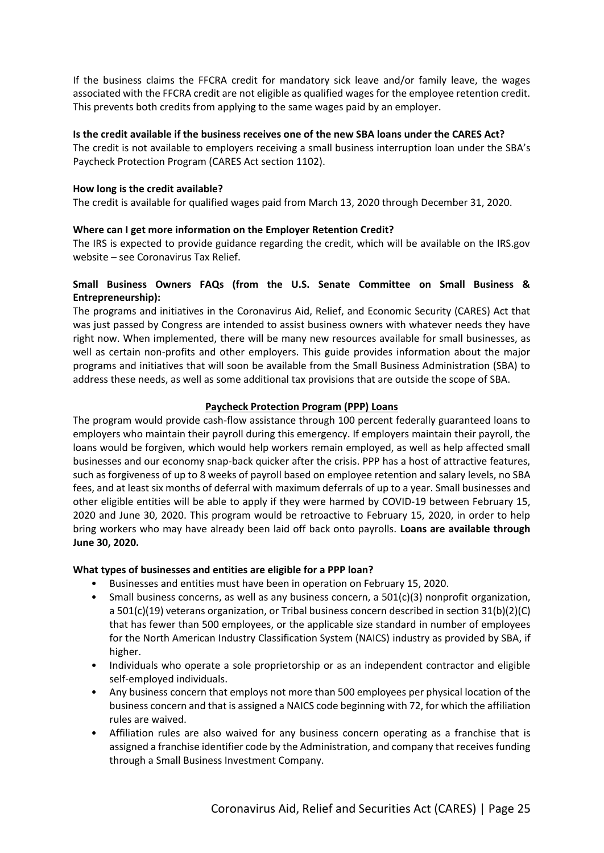If the business claims the FFCRA credit for mandatory sick leave and/or family leave, the wages associated with the FFCRA credit are not eligible as qualified wages for the employee retention credit. This prevents both credits from applying to the same wages paid by an employer.

#### **Is the credit available if the business receives one of the new SBA loans under the CARES Act?**

The credit is not available to employers receiving a small business interruption loan under the SBA's Paycheck Protection Program (CARES Act section 1102).

#### **How long is the credit available?**

The credit is available for qualified wages paid from March 13, 2020 through December 31, 2020.

#### **Where can I get more information on the Employer Retention Credit?**

The IRS is expected to provide guidance regarding the credit, which will be available on the IRS.gov website – see Coronavirus Tax Relief.

# **Small Business Owners FAQs (from the U.S. Senate Committee on Small Business & Entrepreneurship):**

The programs and initiatives in the Coronavirus Aid, Relief, and Economic Security (CARES) Act that was just passed by Congress are intended to assist business owners with whatever needs they have right now. When implemented, there will be many new resources available for small businesses, as well as certain non-profits and other employers. This guide provides information about the major programs and initiatives that will soon be available from the Small Business Administration (SBA) to address these needs, as well as some additional tax provisions that are outside the scope of SBA.

#### **Paycheck Protection Program (PPP) Loans**

The program would provide cash-flow assistance through 100 percent federally guaranteed loans to employers who maintain their payroll during this emergency. If employers maintain their payroll, the loans would be forgiven, which would help workers remain employed, as well as help affected small businesses and our economy snap-back quicker after the crisis. PPP has a host of attractive features, such as forgiveness of up to 8 weeks of payroll based on employee retention and salary levels, no SBA fees, and at least six months of deferral with maximum deferrals of up to a year. Small businesses and other eligible entities will be able to apply if they were harmed by COVID-19 between February 15, 2020 and June 30, 2020. This program would be retroactive to February 15, 2020, in order to help bring workers who may have already been laid off back onto payrolls. **Loans are available through June 30, 2020.**

#### **What types of businesses and entities are eligible for a PPP loan?**

- Businesses and entities must have been in operation on February 15, 2020.
- Small business concerns, as well as any business concern, a  $501(c)(3)$  nonprofit organization, a 501(c)(19) veterans organization, or Tribal business concern described in section 31(b)(2)(C) that has fewer than 500 employees, or the applicable size standard in number of employees for the North American Industry Classification System (NAICS) industry as provided by SBA, if higher.
- Individuals who operate a sole proprietorship or as an independent contractor and eligible self-employed individuals.
- Any business concern that employs not more than 500 employees per physical location of the business concern and that is assigned a NAICS code beginning with 72, for which the affiliation rules are waived.
- Affiliation rules are also waived for any business concern operating as a franchise that is assigned a franchise identifier code by the Administration, and company that receivesfunding through a Small Business Investment Company.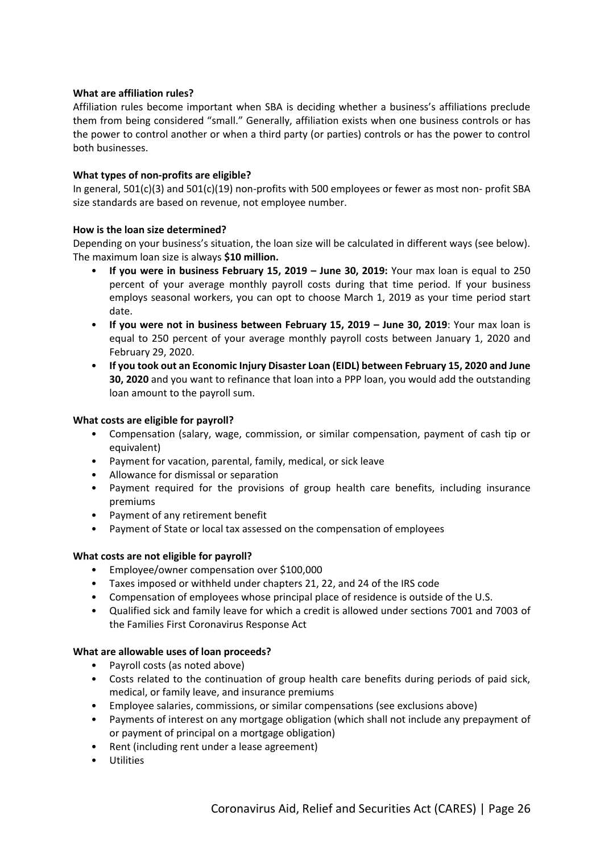#### **What are affiliation rules?**

Affiliation rules become important when SBA is deciding whether a business's affiliations preclude them from being considered "small." Generally, affiliation exists when one business controls or has the power to control another or when a third party (or parties) controls or has the power to control both businesses.

#### **What types of non-profits are eligible?**

In general, 501(c)(3) and 501(c)(19) non-profits with 500 employees or fewer as most non- profit SBA size standards are based on revenue, not employee number.

#### **How is the loan size determined?**

Depending on your business's situation, the loan size will be calculated in different ways (see below). The maximum loan size is always **\$10 million.**

- **If you were in business February 15, 2019 – June 30, 2019:** Your max loan is equal to 250 percent of your average monthly payroll costs during that time period. If your business employs seasonal workers, you can opt to choose March 1, 2019 as your time period start date.
- **If you were not in business between February 15, 2019 – June 30, 2019**: Your max loan is equal to 250 percent of your average monthly payroll costs between January 1, 2020 and February 29, 2020.
- **If you took out an Economic Injury Disaster Loan (EIDL) between February 15, 2020 and June 30, 2020** and you want to refinance that loan into a PPP loan, you would add the outstanding loan amount to the payroll sum.

#### **What costs are eligible for payroll?**

- Compensation (salary, wage, commission, or similar compensation, payment of cash tip or equivalent)
- Payment for vacation, parental, family, medical, or sick leave
- Allowance for dismissal or separation
- Payment required for the provisions of group health care benefits, including insurance premiums
- Payment of any retirement benefit
- Payment of State or local tax assessed on the compensation of employees

#### **What costs are not eligible for payroll?**

- Employee/owner compensation over \$100,000
- Taxes imposed or withheld under chapters 21, 22, and 24 of the IRS code
- Compensation of employees whose principal place of residence is outside of the U.S.
- Qualified sick and family leave for which a credit is allowed under sections 7001 and 7003 of the Families First Coronavirus Response Act

#### **What are allowable uses of loan proceeds?**

- Payroll costs (as noted above)
- Costs related to the continuation of group health care benefits during periods of paid sick, medical, or family leave, and insurance premiums
- Employee salaries, commissions, or similar compensations (see exclusions above)
- Payments of interest on any mortgage obligation (which shall not include any prepayment of or payment of principal on a mortgage obligation)
- Rent (including rent under a lease agreement)
- **Utilities**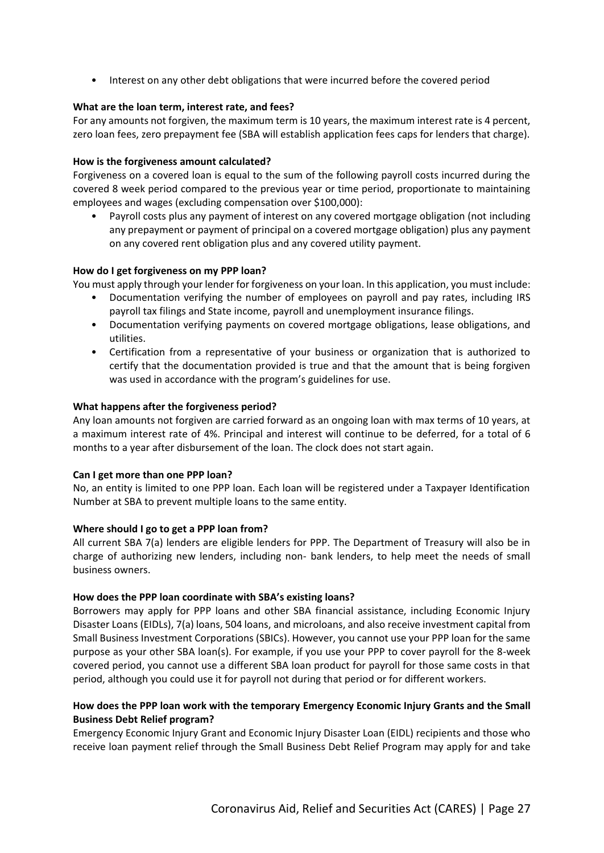• Interest on any other debt obligations that were incurred before the covered period

#### **What are the loan term, interest rate, and fees?**

For any amounts not forgiven, the maximum term is 10 years, the maximum interest rate is 4 percent, zero loan fees, zero prepayment fee (SBA will establish application fees caps for lenders that charge).

#### **How is the forgiveness amount calculated?**

Forgiveness on a covered loan is equal to the sum of the following payroll costs incurred during the covered 8 week period compared to the previous year or time period, proportionate to maintaining employees and wages (excluding compensation over \$100,000):

• Payroll costs plus any payment of interest on any covered mortgage obligation (not including any prepayment or payment of principal on a covered mortgage obligation) plus any payment on any covered rent obligation plus and any covered utility payment.

#### **How do I get forgiveness on my PPP loan?**

You must apply through your lender for forgiveness on your loan. In this application, you must include:

- Documentation verifying the number of employees on payroll and pay rates, including IRS payroll tax filings and State income, payroll and unemployment insurance filings.
- Documentation verifying payments on covered mortgage obligations, lease obligations, and utilities.
- Certification from a representative of your business or organization that is authorized to certify that the documentation provided is true and that the amount that is being forgiven was used in accordance with the program's guidelines for use.

#### **What happens after the forgiveness period?**

Any loan amounts not forgiven are carried forward as an ongoing loan with max terms of 10 years, at a maximum interest rate of 4%. Principal and interest will continue to be deferred, for a total of 6 months to a year after disbursement of the loan. The clock does not start again.

#### **Can I get more than one PPP loan?**

No, an entity is limited to one PPP loan. Each loan will be registered under a Taxpayer Identification Number at SBA to prevent multiple loans to the same entity.

#### **Where should I go to get a PPP loan from?**

All current SBA 7(a) lenders are eligible lenders for PPP. The Department of Treasury will also be in charge of authorizing new lenders, including non- bank lenders, to help meet the needs of small business owners.

#### **How does the PPP loan coordinate with SBA's existing loans?**

Borrowers may apply for PPP loans and other SBA financial assistance, including Economic Injury Disaster Loans (EIDLs), 7(a) loans, 504 loans, and microloans, and also receive investment capital from Small Business Investment Corporations (SBICs). However, you cannot use your PPP loan for the same purpose as your other SBA loan(s). For example, if you use your PPP to cover payroll for the 8-week covered period, you cannot use a different SBA loan product for payroll for those same costs in that period, although you could use it for payroll not during that period or for different workers.

# **How does the PPP loan work with the temporary Emergency Economic Injury Grants and the Small Business Debt Relief program?**

Emergency Economic Injury Grant and Economic Injury Disaster Loan (EIDL) recipients and those who receive loan payment relief through the Small Business Debt Relief Program may apply for and take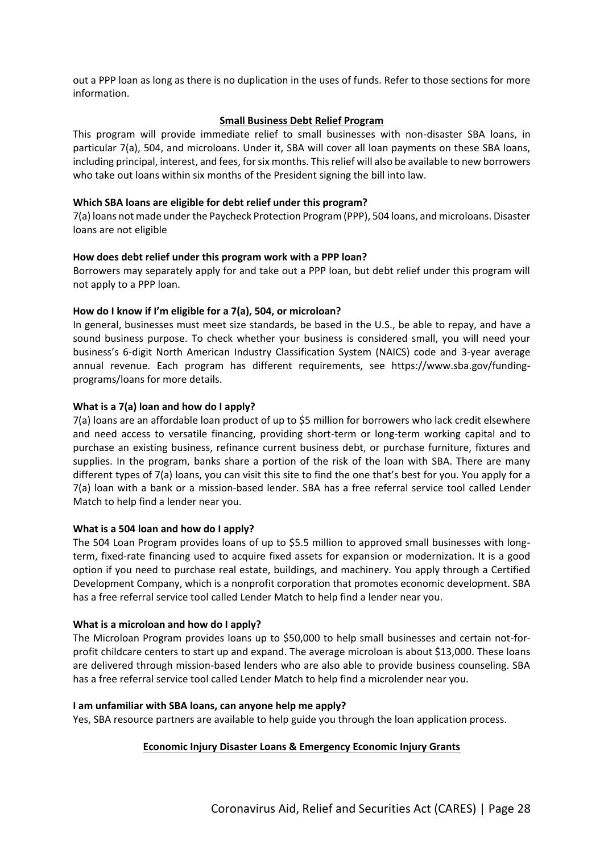out a PPP loan as long as there is no duplication in the uses of funds. Refer to those sections for more information.

#### **Small Business Debt Relief Program**

This program will provide immediate relief to small businesses with non-disaster SBA loans, in particular 7(a), 504, and microloans. Under it, SBA will cover all loan payments on these SBA loans, including principal, interest, and fees, for six months. This relief will also be available to new borrowers who take out loans within six months of the President signing the bill into law.

#### **Which SBA loans are eligible for debt relief under this program?**

7(a) loans not made under the Paycheck Protection Program (PPP), 504 loans, and microloans. Disaster loans are not eligible

#### **How does debt relief under this program work with a PPP loan?**

Borrowers may separately apply for and take out a PPP loan, but debt relief under this program will not apply to a PPP loan.

#### **How do I know if I'm eligible for a 7(a), 504, or microloan?**

In general, businesses must meet size standards, be based in the U.S., be able to repay, and have a sound business purpose. To check whether your business is considered small, you will need your business's 6-digit North American Industry Classification System (NAICS) code and 3-year average annual revenue. Each program has different requirements, see https://www.sba.gov/fundingprograms/loans for more details.

#### **What is a 7(a) loan and how do I apply?**

7(a) loans are an affordable loan product of up to \$5 million for borrowers who lack credit elsewhere and need access to versatile financing, providing short-term or long-term working capital and to purchase an existing business, refinance current business debt, or purchase furniture, fixtures and supplies. In the program, banks share a portion of the risk of the loan with SBA. There are many different types of 7(a) loans, you can visit this site to find the one that's best for you. You apply for a 7(a) loan with a bank or a mission-based lender. SBA has a free referral service tool called Lender Match to help find a lender near you.

#### **What is a 504 loan and how do I apply?**

The 504 Loan Program provides loans of up to \$5.5 million to approved small businesses with longterm, fixed-rate financing used to acquire fixed assets for expansion or modernization. It is a good option if you need to purchase real estate, buildings, and machinery. You apply through a Certified Development Company, which is a nonprofit corporation that promotes economic development. SBA has a free referral service tool called Lender Match to help find a lender near you.

#### **What is a microloan and how do I apply?**

The Microloan Program provides loans up to \$50,000 to help small businesses and certain not-forprofit childcare centers to start up and expand. The average microloan is about \$13,000. These loans are delivered through mission-based lenders who are also able to provide business counseling. SBA has a free referral service tool called Lender Match to help find a microlender near you.

#### **I am unfamiliar with SBA loans, can anyone help me apply?**

Yes, SBA resource partners are available to help guide you through the loan application process.

# **Economic Injury Disaster Loans & Emergency Economic Injury Grants**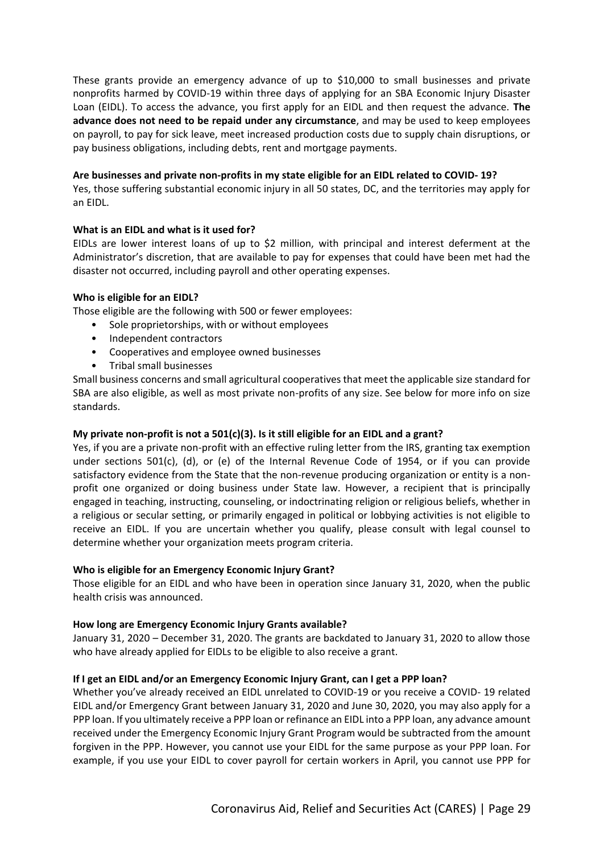These grants provide an emergency advance of up to \$10,000 to small businesses and private nonprofits harmed by COVID-19 within three days of applying for an SBA Economic Injury Disaster Loan (EIDL). To access the advance, you first apply for an EIDL and then request the advance. **The advance does not need to be repaid under any circumstance**, and may be used to keep employees on payroll, to pay for sick leave, meet increased production costs due to supply chain disruptions, or pay business obligations, including debts, rent and mortgage payments.

#### **Are businesses and private non-profits in my state eligible for an EIDL related to COVID- 19?**

Yes, those suffering substantial economic injury in all 50 states, DC, and the territories may apply for an EIDL.

#### **What is an EIDL and what is it used for?**

EIDLs are lower interest loans of up to \$2 million, with principal and interest deferment at the Administrator's discretion, that are available to pay for expenses that could have been met had the disaster not occurred, including payroll and other operating expenses.

#### **Who is eligible for an EIDL?**

Those eligible are the following with 500 or fewer employees:

- Sole proprietorships, with or without employees
- Independent contractors
- Cooperatives and employee owned businesses
- Tribal small businesses

Small business concerns and small agricultural cooperatives that meet the applicable size standard for SBA are also eligible, as well as most private non-profits of any size. See below for more info on size standards.

#### **My private non-profit is not a 501(c)(3). Is it still eligible for an EIDL and a grant?**

Yes, if you are a private non-profit with an effective ruling letter from the IRS, granting tax exemption under sections 501(c), (d), or (e) of the Internal Revenue Code of 1954, or if you can provide satisfactory evidence from the State that the non-revenue producing organization or entity is a nonprofit one organized or doing business under State law. However, a recipient that is principally engaged in teaching, instructing, counseling, or indoctrinating religion or religious beliefs, whether in a religious or secular setting, or primarily engaged in political or lobbying activities is not eligible to receive an EIDL. If you are uncertain whether you qualify, please consult with legal counsel to determine whether your organization meets program criteria.

#### **Who is eligible for an Emergency Economic Injury Grant?**

Those eligible for an EIDL and who have been in operation since January 31, 2020, when the public health crisis was announced.

#### **How long are Emergency Economic Injury Grants available?**

January 31, 2020 – December 31, 2020. The grants are backdated to January 31, 2020 to allow those who have already applied for EIDLs to be eligible to also receive a grant.

#### **If I get an EIDL and/or an Emergency Economic Injury Grant, can I get a PPP loan?**

Whether you've already received an EIDL unrelated to COVID-19 or you receive a COVID- 19 related EIDL and/or Emergency Grant between January 31, 2020 and June 30, 2020, you may also apply for a PPP loan. If you ultimately receive a PPP loan or refinance an EIDL into a PPP loan, any advance amount received under the Emergency Economic Injury Grant Program would be subtracted from the amount forgiven in the PPP. However, you cannot use your EIDL for the same purpose as your PPP loan. For example, if you use your EIDL to cover payroll for certain workers in April, you cannot use PPP for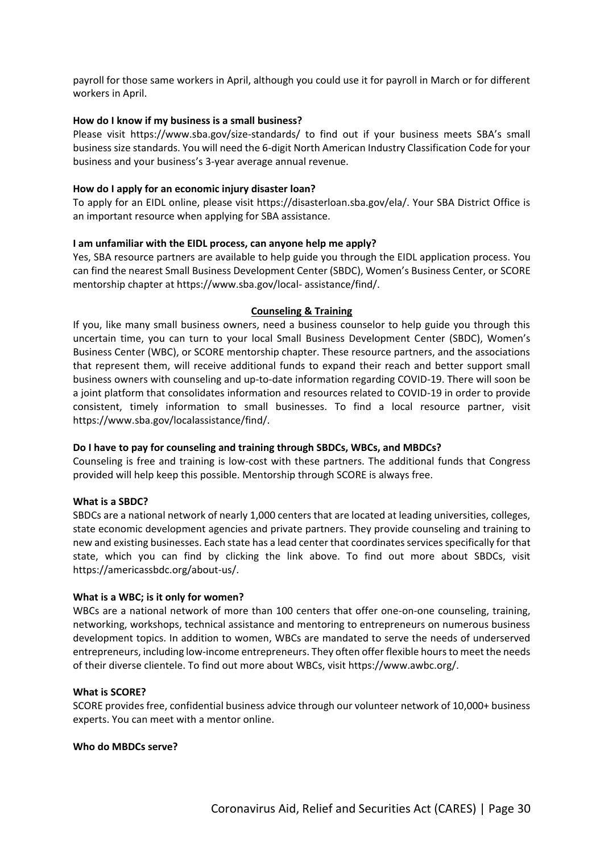payroll for those same workers in April, although you could use it for payroll in March or for different workers in April.

#### **How do I know if my business is a small business?**

Please visit https://www.sba.gov/size-standards/ to find out if your business meets SBA's small business size standards. You will need the 6-digit North American Industry Classification Code for your business and your business's 3-year average annual revenue.

#### **How do I apply for an economic injury disaster loan?**

To apply for an EIDL online, please visit https://disasterloan.sba.gov/ela/. Your SBA District Office is an important resource when applying for SBA assistance.

#### **I am unfamiliar with the EIDL process, can anyone help me apply?**

Yes, SBA resource partners are available to help guide you through the EIDL application process. You can find the nearest Small Business Development Center (SBDC), Women's Business Center, or SCORE mentorship chapter at https://www.sba.gov/local- assistance/find/.

#### **Counseling & Training**

If you, like many small business owners, need a business counselor to help guide you through this uncertain time, you can turn to your local Small Business Development Center (SBDC), Women's Business Center (WBC), or SCORE mentorship chapter. These resource partners, and the associations that represent them, will receive additional funds to expand their reach and better support small business owners with counseling and up-to-date information regarding COVID-19. There will soon be a joint platform that consolidates information and resources related to COVID-19 in order to provide consistent, timely information to small businesses. To find a local resource partner, visit https://www.sba.gov/localassistance/find/.

#### **Do I have to pay for counseling and training through SBDCs, WBCs, and MBDCs?**

Counseling is free and training is low-cost with these partners. The additional funds that Congress provided will help keep this possible. Mentorship through SCORE is always free.

#### **What is a SBDC?**

SBDCs are a national network of nearly 1,000 centers that are located at leading universities, colleges, state economic development agencies and private partners. They provide counseling and training to new and existing businesses. Each state has a lead center that coordinates services specifically for that state, which you can find by clicking the link above. To find out more about SBDCs, visit https://americassbdc.org/about-us/.

#### **What is a WBC; is it only for women?**

WBCs are a national network of more than 100 centers that offer one-on-one counseling, training, networking, workshops, technical assistance and mentoring to entrepreneurs on numerous business development topics. In addition to women, WBCs are mandated to serve the needs of underserved entrepreneurs, including low-income entrepreneurs. They often offer flexible hours to meet the needs of their diverse clientele. To find out more about WBCs, visit https://www.awbc.org/.

#### **What is SCORE?**

SCORE provides free, confidential business advice through our volunteer network of 10,000+ business experts. You can meet with a mentor online.

#### **Who do MBDCs serve?**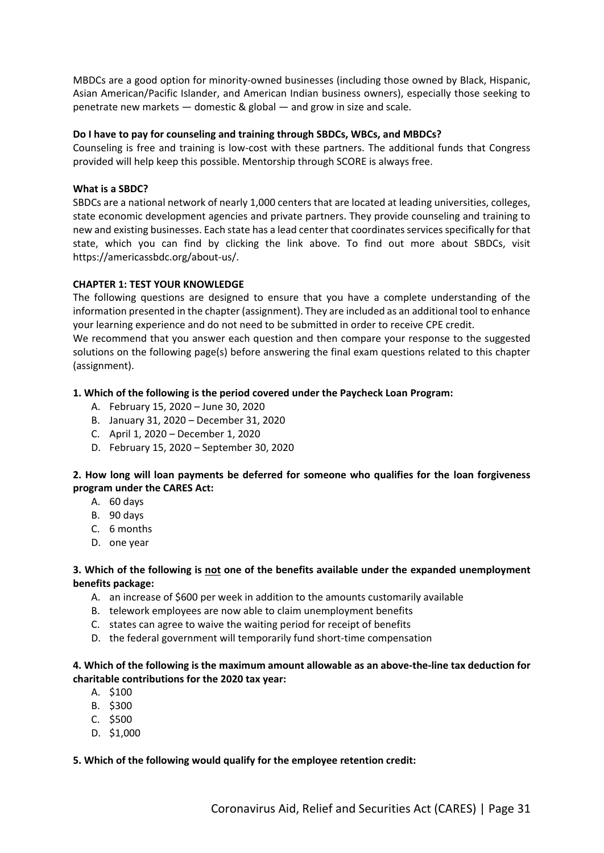MBDCs are a good option for minority-owned businesses (including those owned by Black, Hispanic, Asian American/Pacific Islander, and American Indian business owners), especially those seeking to penetrate new markets — domestic & global — and grow in size and scale.

#### **Do I have to pay for counseling and training through SBDCs, WBCs, and MBDCs?**

Counseling is free and training is low-cost with these partners. The additional funds that Congress provided will help keep this possible. Mentorship through SCORE is always free.

#### **What is a SBDC?**

SBDCs are a national network of nearly 1,000 centers that are located at leading universities, colleges, state economic development agencies and private partners. They provide counseling and training to new and existing businesses. Each state has a lead center that coordinates services specifically for that state, which you can find by clicking the link above. To find out more about SBDCs, visit https://americassbdc.org/about-us/.

#### **CHAPTER 1: TEST YOUR KNOWLEDGE**

The following questions are designed to ensure that you have a complete understanding of the information presented in the chapter (assignment). They are included as an additional tool to enhance your learning experience and do not need to be submitted in order to receive CPE credit.

We recommend that you answer each question and then compare your response to the suggested solutions on the following page(s) before answering the final exam questions related to this chapter (assignment).

#### **1. Which of the following is the period covered under the Paycheck Loan Program:**

- A. February 15, 2020 June 30, 2020
- B. January 31, 2020 December 31, 2020
- C. April 1, 2020 December 1, 2020
- D. February 15, 2020 September 30, 2020

# **2. How long will loan payments be deferred for someone who qualifies for the loan forgiveness program under the CARES Act:**

- A. 60 days
- B. 90 days
- C. 6 months
- D. one year

#### **3. Which of the following is not one of the benefits available under the expanded unemployment benefits package:**

- A. an increase of \$600 per week in addition to the amounts customarily available
- B. telework employees are now able to claim unemployment benefits
- C. states can agree to waive the waiting period for receipt of benefits
- D. the federal government will temporarily fund short-time compensation

#### **4. Which of the following is the maximum amount allowable as an above-the-line tax deduction for charitable contributions for the 2020 tax year:**

- A. \$100
- B. \$300
- C. \$500
- D. \$1,000

#### **5. Which of the following would qualify for the employee retention credit:**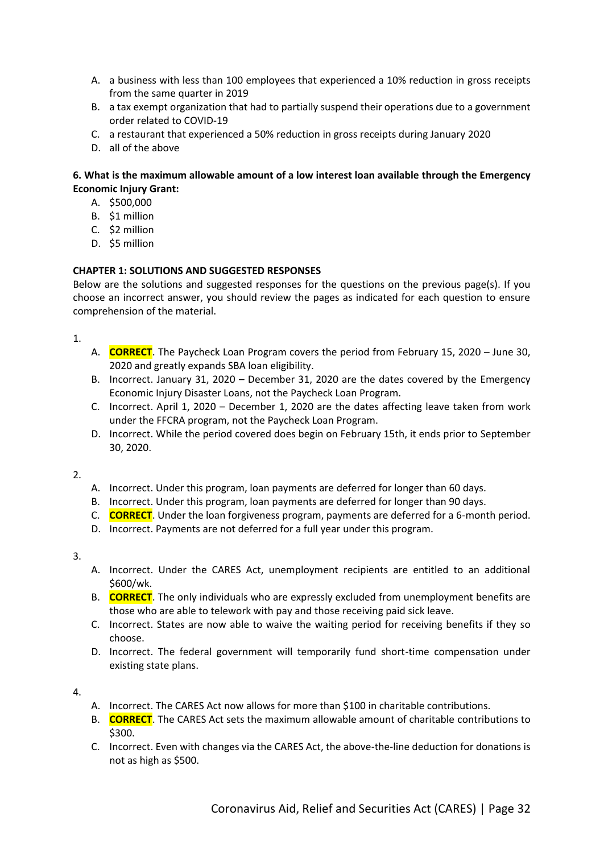- A. a business with less than 100 employees that experienced a 10% reduction in gross receipts from the same quarter in 2019
- B. a tax exempt organization that had to partially suspend their operations due to a government order related to COVID-19
- C. a restaurant that experienced a 50% reduction in gross receipts during January 2020
- D. all of the above

# **6. What is the maximum allowable amount of a low interest loan available through the Emergency Economic Injury Grant:**

- A. \$500,000
- B. \$1 million
- C. \$2 million
- D. \$5 million

# **CHAPTER 1: SOLUTIONS AND SUGGESTED RESPONSES**

Below are the solutions and suggested responses for the questions on the previous page(s). If you choose an incorrect answer, you should review the pages as indicated for each question to ensure comprehension of the material.

1.

- A. **CORRECT**. The Paycheck Loan Program covers the period from February 15, 2020 June 30, 2020 and greatly expands SBA loan eligibility.
- B. Incorrect. January 31, 2020 December 31, 2020 are the dates covered by the Emergency Economic Injury Disaster Loans, not the Paycheck Loan Program.
- C. Incorrect. April 1, 2020 December 1, 2020 are the dates affecting leave taken from work under the FFCRA program, not the Paycheck Loan Program.
- D. Incorrect. While the period covered does begin on February 15th, it ends prior to September 30, 2020.

2.

- A. Incorrect. Under this program, loan payments are deferred for longer than 60 days.
- B. Incorrect. Under this program, loan payments are deferred for longer than 90 days.
- C. **CORRECT**. Under the loan forgiveness program, payments are deferred for a 6-month period.
- D. Incorrect. Payments are not deferred for a full year under this program.

3.

- A. Incorrect. Under the CARES Act, unemployment recipients are entitled to an additional \$600/wk.
- B. **CORRECT**. The only individuals who are expressly excluded from unemployment benefits are those who are able to telework with pay and those receiving paid sick leave.
- C. Incorrect. States are now able to waive the waiting period for receiving benefits if they so choose.
- D. Incorrect. The federal government will temporarily fund short-time compensation under existing state plans.

# 4.

- A. Incorrect. The CARES Act now allows for more than \$100 in charitable contributions.
- B. **CORRECT**. The CARES Act sets the maximum allowable amount of charitable contributions to \$300.
- C. Incorrect. Even with changes via the CARES Act, the above-the-line deduction for donations is not as high as \$500.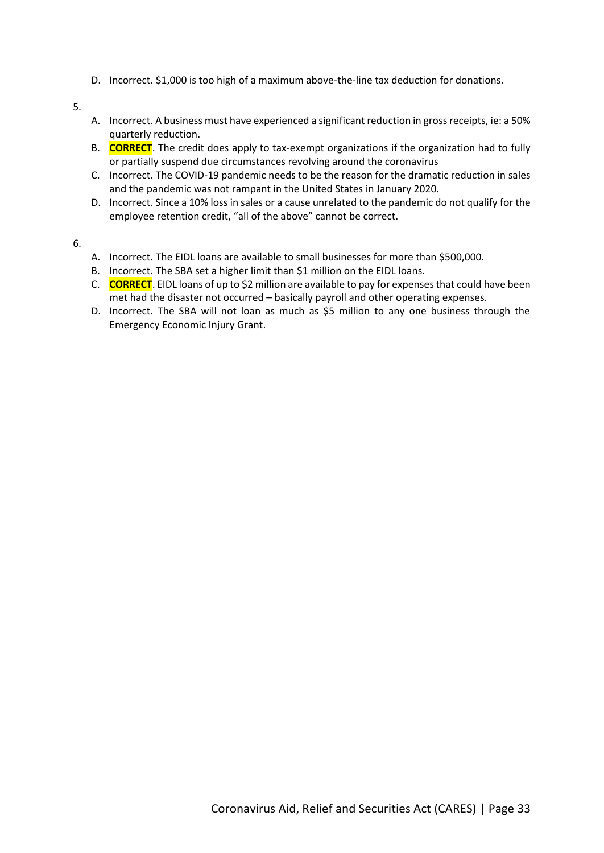D. Incorrect. \$1,000 is too high of a maximum above-the-line tax deduction for donations.

5.

- A. Incorrect. A business must have experienced a significant reduction in gross receipts, ie: a 50% quarterly reduction.
- B. **CORRECT**. The credit does apply to tax-exempt organizations if the organization had to fully or partially suspend due circumstances revolving around the coronavirus
- C. Incorrect. The COVID-19 pandemic needs to be the reason for the dramatic reduction in sales and the pandemic was not rampant in the United States in January 2020.
- D. Incorrect. Since a 10% loss in sales or a cause unrelated to the pandemic do not qualify for the employee retention credit, "all of the above" cannot be correct.

6.

- A. Incorrect. The EIDL loans are available to small businesses for more than \$500,000.
- B. Incorrect. The SBA set a higher limit than \$1 million on the EIDL loans.
- C. **CORRECT**. EIDL loans of up to \$2 million are available to pay for expenses that could have been met had the disaster not occurred – basically payroll and other operating expenses.
- D. Incorrect. The SBA will not loan as much as \$5 million to any one business through the Emergency Economic Injury Grant.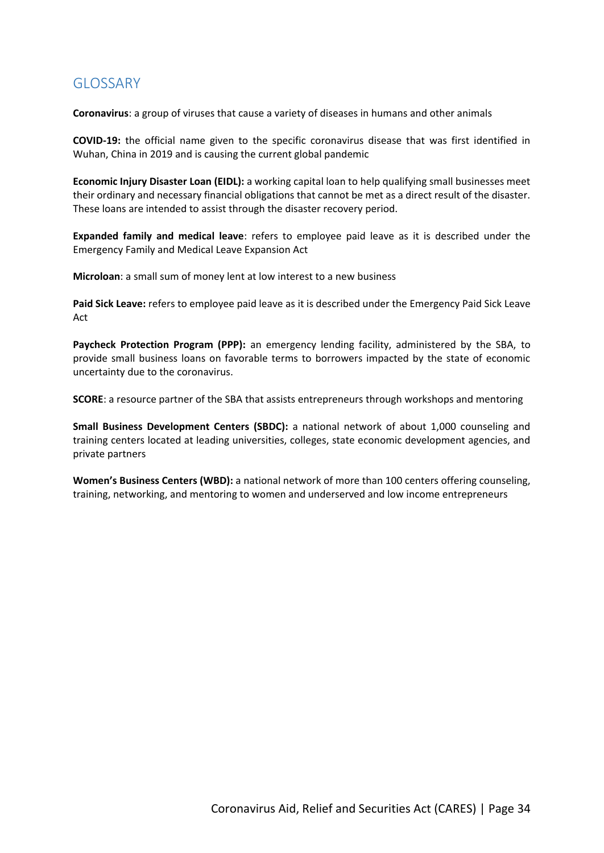# <span id="page-33-0"></span>GLOSSARY

**Coronavirus**: a group of viruses that cause a variety of diseases in humans and other animals

**COVID-19:** the official name given to the specific coronavirus disease that was first identified in Wuhan, China in 2019 and is causing the current global pandemic

**Economic Injury Disaster Loan (EIDL):** a working capital loan to help qualifying small businesses meet their ordinary and necessary financial obligations that cannot be met as a direct result of the disaster. These loans are intended to assist through the disaster recovery period.

**Expanded family and medical leave**: refers to employee paid leave as it is described under the Emergency Family and Medical Leave Expansion Act

**Microloan**: a small sum of money lent at low interest to a new business

**Paid Sick Leave:** refers to employee paid leave as it is described under the Emergency Paid Sick Leave Act

**Paycheck Protection Program (PPP):** an emergency lending facility, administered by the SBA, to provide small business loans on favorable terms to borrowers impacted by the state of economic uncertainty due to the coronavirus.

**SCORE**: a resource partner of the SBA that assists entrepreneurs through workshops and mentoring

**Small Business Development Centers (SBDC):** a national network of about 1,000 counseling and training centers located at leading universities, colleges, state economic development agencies, and private partners

**Women's Business Centers (WBD):** a national network of more than 100 centers offering counseling, training, networking, and mentoring to women and underserved and low income entrepreneurs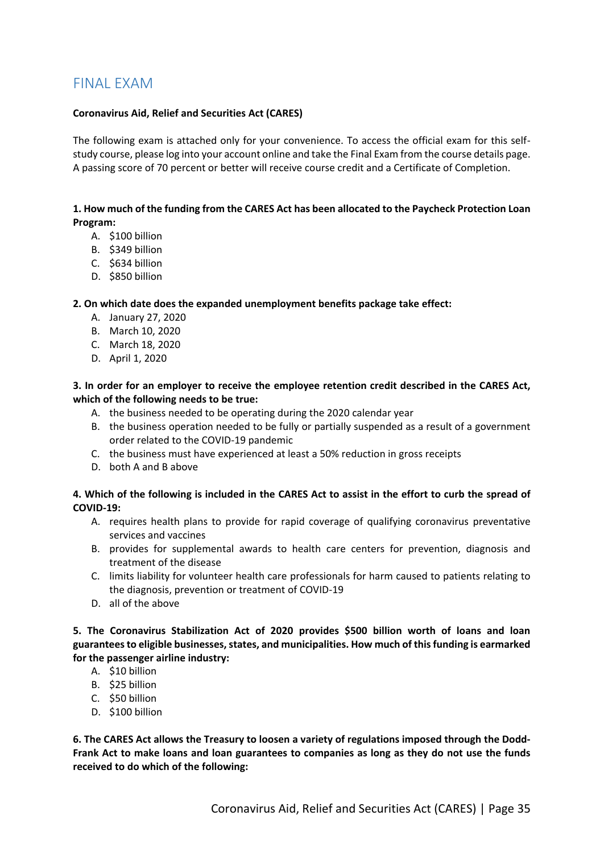# <span id="page-34-0"></span>FINAL EXAM

#### **Coronavirus Aid, Relief and Securities Act (CARES)**

The following exam is attached only for your convenience. To access the official exam for this selfstudy course, please log into your account online and take the Final Exam from the course details page. A passing score of 70 percent or better will receive course credit and a Certificate of Completion.

#### **1. How much of the funding from the CARES Act has been allocated to the Paycheck Protection Loan Program:**

- A. \$100 billion
- B. \$349 billion
- C. \$634 billion
- D. \$850 billion

#### **2. On which date does the expanded unemployment benefits package take effect:**

- A. January 27, 2020
- B. March 10, 2020
- C. March 18, 2020
- D. April 1, 2020

#### **3. In order for an employer to receive the employee retention credit described in the CARES Act, which of the following needs to be true:**

- A. the business needed to be operating during the 2020 calendar year
- B. the business operation needed to be fully or partially suspended as a result of a government order related to the COVID-19 pandemic
- C. the business must have experienced at least a 50% reduction in gross receipts
- D. both A and B above

#### **4. Which of the following is included in the CARES Act to assist in the effort to curb the spread of COVID-19:**

- A. requires health plans to provide for rapid coverage of qualifying coronavirus preventative services and vaccines
- B. provides for supplemental awards to health care centers for prevention, diagnosis and treatment of the disease
- C. limits liability for volunteer health care professionals for harm caused to patients relating to the diagnosis, prevention or treatment of COVID-19
- D. all of the above

**5. The Coronavirus Stabilization Act of 2020 provides \$500 billion worth of loans and loan guarantees to eligible businesses, states, and municipalities. How much of this funding is earmarked for the passenger airline industry:**

- A. \$10 billion
- B. \$25 billion
- C. \$50 billion
- D. \$100 billion

**6. The CARES Act allows the Treasury to loosen a variety of regulations imposed through the Dodd-Frank Act to make loans and loan guarantees to companies as long as they do not use the funds received to do which of the following:**